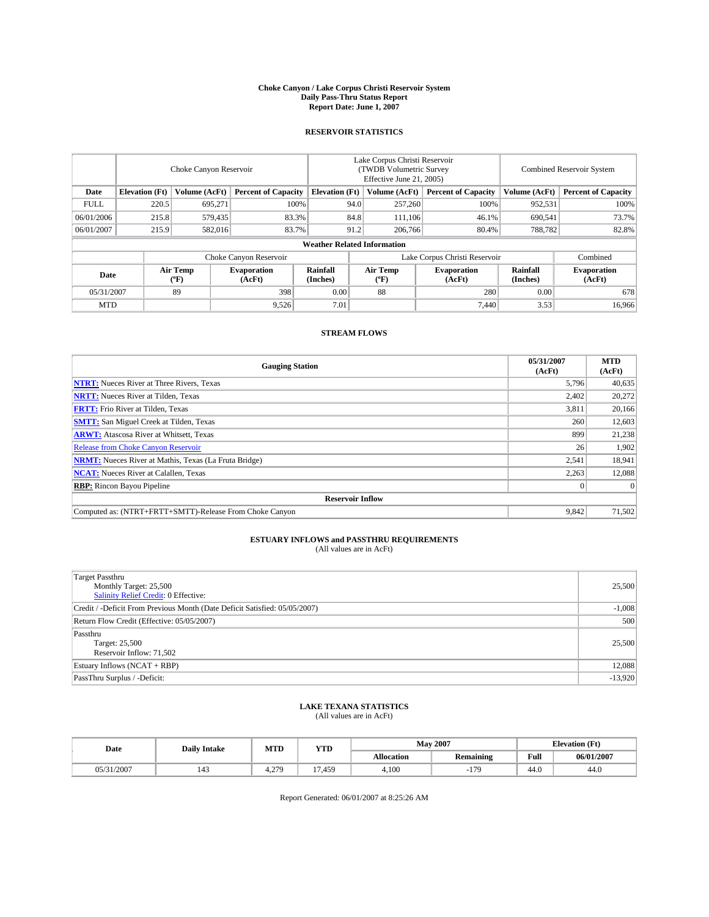#### **Choke Canyon / Lake Corpus Christi Reservoir System Daily Pass-Thru Status Report Report Date: June 1, 2007**

### **RESERVOIR STATISTICS**

|             | Choke Canyon Reservoir             |                  |                              |                       | Lake Corpus Christi Reservoir<br>(TWDB Volumetric Survey<br>Effective June 21, 2005) |                  |                               |                      | Combined Reservoir System    |  |  |
|-------------|------------------------------------|------------------|------------------------------|-----------------------|--------------------------------------------------------------------------------------|------------------|-------------------------------|----------------------|------------------------------|--|--|
| Date        | <b>Elevation</b> (Ft)              | Volume (AcFt)    | <b>Percent of Capacity</b>   | <b>Elevation</b> (Ft) |                                                                                      | Volume (AcFt)    | <b>Percent of Capacity</b>    | Volume (AcFt)        | <b>Percent of Capacity</b>   |  |  |
| <b>FULL</b> | 220.5                              | 695,271          |                              | 100%                  | 94.0                                                                                 | 257,260          | 100%                          | 952,531              | 100%                         |  |  |
| 06/01/2006  | 215.8                              | 579,435          | 83.3%                        |                       | 84.8                                                                                 | 111,106          | 46.1%                         | 690,541              | 73.7%                        |  |  |
| 06/01/2007  | 215.9                              | 582,016          | 83.7%                        |                       | 91.2                                                                                 | 206,766          | 80.4%                         | 788,782              | 82.8%                        |  |  |
|             | <b>Weather Related Information</b> |                  |                              |                       |                                                                                      |                  |                               |                      |                              |  |  |
|             |                                    |                  | Choke Canyon Reservoir       |                       |                                                                                      |                  | Lake Corpus Christi Reservoir |                      | Combined                     |  |  |
| Date        |                                    | Air Temp<br>(°F) | <b>Evaporation</b><br>(AcFt) | Rainfall<br>(Inches)  |                                                                                      | Air Temp<br>("F) | <b>Evaporation</b><br>(AcFt)  | Rainfall<br>(Inches) | <b>Evaporation</b><br>(AcFt) |  |  |
| 05/31/2007  |                                    | 89               | 398                          | 0.00                  |                                                                                      | 88               | 280                           | 0.00                 | 678                          |  |  |
| <b>MTD</b>  |                                    |                  | 9,526                        | 7.01                  |                                                                                      |                  | 7.440                         | 3.53                 | 16,966                       |  |  |

### **STREAM FLOWS**

| <b>Gauging Station</b>                                       | 05/31/2007<br>(AcFt) | <b>MTD</b><br>(AcFt) |
|--------------------------------------------------------------|----------------------|----------------------|
| <b>NTRT:</b> Nueces River at Three Rivers, Texas             | 5,796                | 40,635               |
| <b>NRTT:</b> Nueces River at Tilden, Texas                   | 2,402                | 20,272               |
| <b>FRTT:</b> Frio River at Tilden, Texas                     | 3,811                | 20,166               |
| <b>SMTT:</b> San Miguel Creek at Tilden, Texas               | 260                  | 12,603               |
| <b>ARWT:</b> Atascosa River at Whitsett, Texas               | 899                  | 21,238               |
| <b>Release from Choke Canyon Reservoir</b>                   | 26                   | 1,902                |
| <b>NRMT:</b> Nueces River at Mathis, Texas (La Fruta Bridge) | 2,541                | 18,941               |
| <b>NCAT:</b> Nueces River at Calallen, Texas                 | 2,263                | 12,088               |
| <b>RBP:</b> Rincon Bayou Pipeline                            |                      | $\Omega$             |
| <b>Reservoir Inflow</b>                                      |                      |                      |
| Computed as: (NTRT+FRTT+SMTT)-Release From Choke Canyon      | 9,842                | 71,502               |

# **ESTUARY INFLOWS and PASSTHRU REQUIREMENTS**<br>(All values are in AcFt)

| <b>Target Passthru</b><br>Monthly Target: 25,500<br>Salinity Relief Credit: 0 Effective: | 25,500    |
|------------------------------------------------------------------------------------------|-----------|
| Credit / -Deficit From Previous Month (Date Deficit Satisfied: 05/05/2007)               | $-1,008$  |
| Return Flow Credit (Effective: 05/05/2007)                                               | 500       |
| Passthru<br>Target: 25,500<br>Reservoir Inflow: 71,502                                   | 25,500    |
| Estuary Inflows (NCAT + RBP)                                                             | 12,088    |
| PassThru Surplus / -Deficit:                                                             | $-13,920$ |

## **LAKE TEXANA STATISTICS** (All values are in AcFt)

| Date       | <b>Daily Intake</b> | MTD         | <b>YTD</b>             |            | <b>May 2007</b>  |      | <b>Elevation</b> (Ft) |
|------------|---------------------|-------------|------------------------|------------|------------------|------|-----------------------|
|            |                     |             |                        | Allocation | <b>Remaining</b> | Full | 06/01/2007            |
| 05/31/2007 | 143                 | 27C<br>4.2. | $\overline{ }$<br>.459 | 4.100      | 170              | 44.0 | 44.0                  |

Report Generated: 06/01/2007 at 8:25:26 AM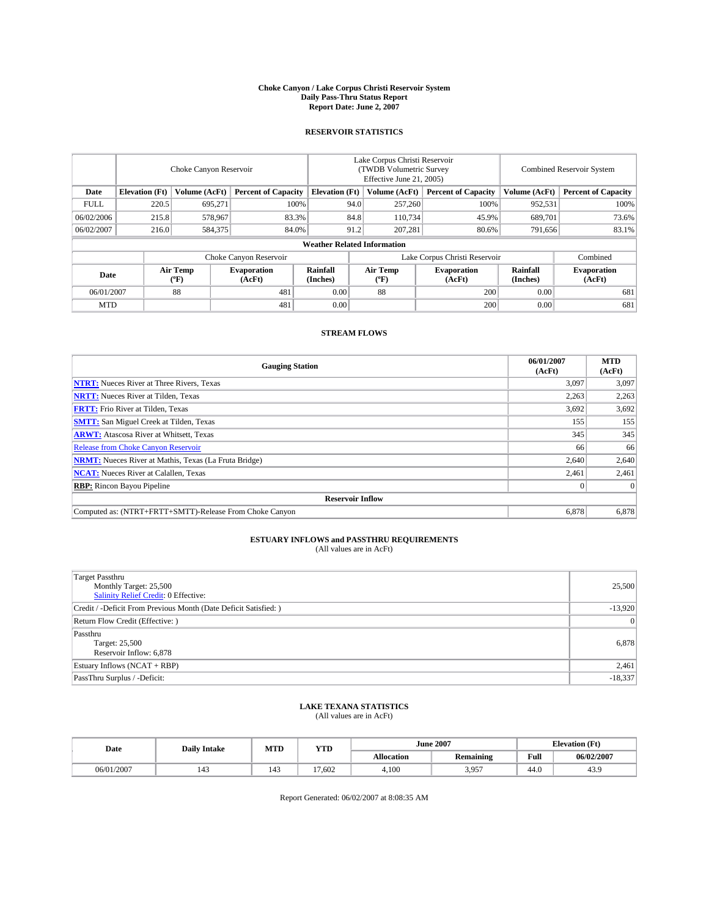#### **Choke Canyon / Lake Corpus Christi Reservoir System Daily Pass-Thru Status Report Report Date: June 2, 2007**

### **RESERVOIR STATISTICS**

|             | Choke Canyon Reservoir             |                  |                              |                       | Lake Corpus Christi Reservoir<br>(TWDB Volumetric Survey<br>Effective June 21, 2005) |                  |                               |                      | Combined Reservoir System    |  |  |
|-------------|------------------------------------|------------------|------------------------------|-----------------------|--------------------------------------------------------------------------------------|------------------|-------------------------------|----------------------|------------------------------|--|--|
| Date        | <b>Elevation</b> (Ft)              | Volume (AcFt)    | <b>Percent of Capacity</b>   | <b>Elevation</b> (Ft) |                                                                                      | Volume (AcFt)    | <b>Percent of Capacity</b>    | Volume (AcFt)        | <b>Percent of Capacity</b>   |  |  |
| <b>FULL</b> | 220.5                              | 695.271          | 100%                         |                       | 94.0                                                                                 | 257,260          | 100%                          | 952,531              | 100%                         |  |  |
| 06/02/2006  | 215.8                              | 578,967          | 83.3%                        |                       | 84.8                                                                                 | 110,734          | 45.9%                         | 689,701              | 73.6%                        |  |  |
| 06/02/2007  | 216.0                              | 584,375          | 84.0%                        |                       | 91.2                                                                                 | 207,281          | 80.6%                         | 791,656              | 83.1%                        |  |  |
|             | <b>Weather Related Information</b> |                  |                              |                       |                                                                                      |                  |                               |                      |                              |  |  |
|             |                                    |                  | Choke Canyon Reservoir       |                       |                                                                                      |                  | Lake Corpus Christi Reservoir |                      | Combined                     |  |  |
| Date        |                                    | Air Temp<br>(°F) | <b>Evaporation</b><br>(AcFt) | Rainfall<br>(Inches)  |                                                                                      | Air Temp<br>("F) | <b>Evaporation</b><br>(AcFt)  | Rainfall<br>(Inches) | <b>Evaporation</b><br>(AcFt) |  |  |
| 06/01/2007  |                                    | 88               | 481                          | 0.00                  |                                                                                      | 88               | 200                           | 0.00                 | 681                          |  |  |
| <b>MTD</b>  |                                    |                  | 481                          | 0.00                  |                                                                                      |                  | 200                           | 0.00                 | 681                          |  |  |

### **STREAM FLOWS**

| <b>Gauging Station</b>                                       | 06/01/2007<br>(AcFt) | <b>MTD</b><br>(AcFt) |
|--------------------------------------------------------------|----------------------|----------------------|
| <b>NTRT:</b> Nueces River at Three Rivers, Texas             | 3.097                | 3,097                |
| <b>NRTT:</b> Nueces River at Tilden, Texas                   | 2,263                | 2,263                |
| <b>FRTT:</b> Frio River at Tilden, Texas                     | 3,692                | 3,692                |
| <b>SMTT:</b> San Miguel Creek at Tilden, Texas               | 155                  | 155                  |
| <b>ARWT:</b> Atascosa River at Whitsett, Texas               | 345                  | 345                  |
| <b>Release from Choke Canyon Reservoir</b>                   | 66                   | 66                   |
| <b>NRMT:</b> Nueces River at Mathis, Texas (La Fruta Bridge) | 2,640                | 2,640                |
| <b>NCAT:</b> Nueces River at Calallen, Texas                 | 2,461                | 2,461                |
| <b>RBP:</b> Rincon Bayou Pipeline                            |                      | $\Omega$             |
| <b>Reservoir Inflow</b>                                      |                      |                      |
| Computed as: (NTRT+FRTT+SMTT)-Release From Choke Canyon      | 6,878                | 6,878                |

# **ESTUARY INFLOWS and PASSTHRU REQUIREMENTS**<br>(All values are in AcFt)

| <b>Target Passthru</b><br>Monthly Target: 25,500<br>Salinity Relief Credit: 0 Effective: | 25,500    |
|------------------------------------------------------------------------------------------|-----------|
| Credit / -Deficit From Previous Month (Date Deficit Satisfied: )                         | $-13,920$ |
| Return Flow Credit (Effective: )                                                         | $\Omega$  |
| Passthru<br>Target: 25,500<br>Reservoir Inflow: 6,878                                    | 6,878     |
| Estuary Inflows (NCAT + RBP)                                                             | 2,461     |
| PassThru Surplus / -Deficit:                                                             | $-18,337$ |

## **LAKE TEXANA STATISTICS** (All values are in AcFt)

| Date       | <b>Daily Intake</b>   | MTD | <b>YTD</b>                       |                   | <b>June 2007</b> | <b>Elevation</b> (Ft) |            |
|------------|-----------------------|-----|----------------------------------|-------------------|------------------|-----------------------|------------|
|            |                       |     |                                  | <b>Allocation</b> | <b>Remaining</b> | Full                  | 06/02/2007 |
| 06/01/2007 | $\overline{A}$<br>143 |     | $\overline{\phantom{0}}$<br>.602 | 4.100             | 3,957            | 44.0                  | 43.9       |

Report Generated: 06/02/2007 at 8:08:35 AM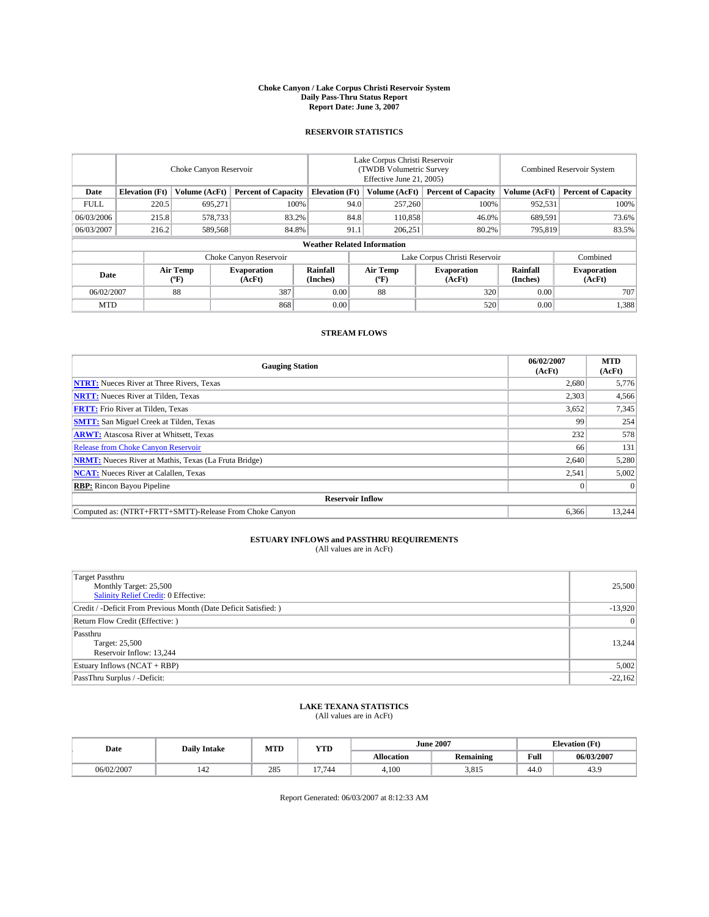#### **Choke Canyon / Lake Corpus Christi Reservoir System Daily Pass-Thru Status Report Report Date: June 3, 2007**

### **RESERVOIR STATISTICS**

|             | Choke Canyon Reservoir |                  |                              |                                    | Lake Corpus Christi Reservoir<br>(TWDB Volumetric Survey<br>Effective June 21, 2005) |                               |                              | Combined Reservoir System |                              |  |
|-------------|------------------------|------------------|------------------------------|------------------------------------|--------------------------------------------------------------------------------------|-------------------------------|------------------------------|---------------------------|------------------------------|--|
| Date        | <b>Elevation</b> (Ft)  | Volume (AcFt)    | <b>Percent of Capacity</b>   | <b>Elevation</b> (Ft)              |                                                                                      | Volume (AcFt)                 | <b>Percent of Capacity</b>   | Volume (AcFt)             | <b>Percent of Capacity</b>   |  |
| <b>FULL</b> | 220.5                  | 695,271          | 100%                         |                                    | 94.0                                                                                 | 257,260                       | 100%                         | 952,531                   | 100%                         |  |
| 06/03/2006  | 215.8                  | 578,733          | 83.2%                        |                                    | 84.8                                                                                 | 110,858                       | 46.0%                        | 689,591                   | 73.6%                        |  |
| 06/03/2007  | 216.2                  | 589,568          | 84.8%                        |                                    | 91.1                                                                                 | 206.251                       | 80.2%                        | 795,819                   | 83.5%                        |  |
|             |                        |                  |                              | <b>Weather Related Information</b> |                                                                                      |                               |                              |                           |                              |  |
|             |                        |                  | Choke Canyon Reservoir       |                                    |                                                                                      | Lake Corpus Christi Reservoir |                              |                           | Combined                     |  |
| Date        |                        | Air Temp<br>(°F) | <b>Evaporation</b><br>(AcFt) | Rainfall<br>(Inches)               |                                                                                      | Air Temp<br>("F)              | <b>Evaporation</b><br>(AcFt) | Rainfall<br>(Inches)      | <b>Evaporation</b><br>(AcFt) |  |
| 06/02/2007  |                        | 88               | 387                          | 0.00                               |                                                                                      | 88                            | 320                          | 0.00                      | 707                          |  |
| <b>MTD</b>  |                        |                  | 868                          | 0.00                               |                                                                                      |                               | 520                          | 0.00                      | 1,388                        |  |

### **STREAM FLOWS**

| <b>Gauging Station</b>                                       | 06/02/2007<br>(AcFt) | <b>MTD</b><br>(AcFt) |
|--------------------------------------------------------------|----------------------|----------------------|
| <b>NTRT:</b> Nueces River at Three Rivers, Texas             | 2,680                | 5,776                |
| <b>NRTT:</b> Nueces River at Tilden, Texas                   | 2,303                | 4,566                |
| <b>FRTT:</b> Frio River at Tilden, Texas                     | 3,652                | 7,345                |
| <b>SMTT:</b> San Miguel Creek at Tilden, Texas               | 99                   | 254                  |
| <b>ARWT:</b> Atascosa River at Whitsett, Texas               | 232                  | 578                  |
| <b>Release from Choke Canyon Reservoir</b>                   | 66                   | 131                  |
| <b>NRMT:</b> Nueces River at Mathis, Texas (La Fruta Bridge) | 2,640                | 5,280                |
| <b>NCAT:</b> Nueces River at Calallen, Texas                 | 2,541                | 5,002                |
| <b>RBP:</b> Rincon Bayou Pipeline                            |                      | $\Omega$             |
| <b>Reservoir Inflow</b>                                      |                      |                      |
| Computed as: (NTRT+FRTT+SMTT)-Release From Choke Canyon      | 6,366                | 13,244               |

# **ESTUARY INFLOWS and PASSTHRU REQUIREMENTS**<br>(All values are in AcFt)

| <b>Target Passthru</b><br>Monthly Target: 25,500<br>Salinity Relief Credit: 0 Effective: | 25,500    |
|------------------------------------------------------------------------------------------|-----------|
| Credit / -Deficit From Previous Month (Date Deficit Satisfied: )                         | $-13,920$ |
| Return Flow Credit (Effective:)                                                          | $\Omega$  |
| Passthru<br>Target: 25,500<br>Reservoir Inflow: 13,244                                   | 13.244    |
| Estuary Inflows (NCAT + RBP)                                                             | 5,002     |
| PassThru Surplus / -Deficit:                                                             | $-22,162$ |

## **LAKE TEXANA STATISTICS** (All values are in AcFt)

| Date       | <b>Daily Intake</b>   | MTD | <b>YTD</b> |                   | <b>June 2007</b> | <b>Elevation</b> (Ft) |            |
|------------|-----------------------|-----|------------|-------------------|------------------|-----------------------|------------|
|            |                       |     |            | <b>Allocation</b> | <b>Remaining</b> | Full                  | 06/03/2007 |
| 06/02/2007 | $\overline{A}$<br>142 | 285 | 17.744     | 4.100             | 3.815            | 44.0                  | 43.9       |

Report Generated: 06/03/2007 at 8:12:33 AM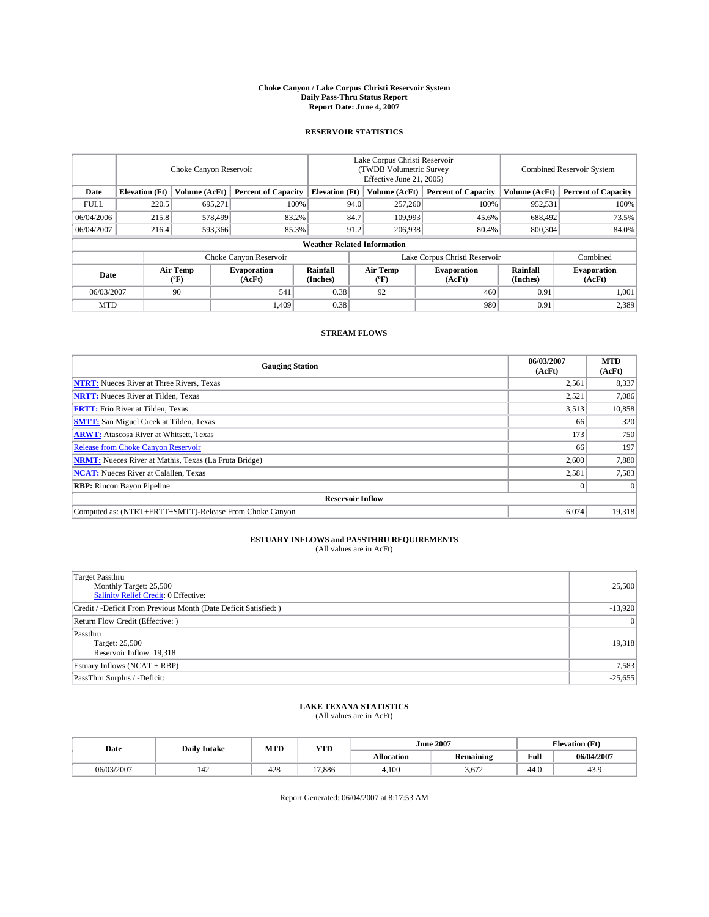#### **Choke Canyon / Lake Corpus Christi Reservoir System Daily Pass-Thru Status Report Report Date: June 4, 2007**

### **RESERVOIR STATISTICS**

|             | Choke Canyon Reservoir |                  |                              |                                    | Lake Corpus Christi Reservoir<br>(TWDB Volumetric Survey<br>Effective June 21, 2005) |                  |                               |                      | Combined Reservoir System    |  |  |
|-------------|------------------------|------------------|------------------------------|------------------------------------|--------------------------------------------------------------------------------------|------------------|-------------------------------|----------------------|------------------------------|--|--|
| Date        | <b>Elevation</b> (Ft)  | Volume (AcFt)    | <b>Percent of Capacity</b>   | <b>Elevation</b> (Ft)              |                                                                                      | Volume (AcFt)    | <b>Percent of Capacity</b>    | Volume (AcFt)        | <b>Percent of Capacity</b>   |  |  |
| <b>FULL</b> | 220.5                  | 695,271          | 100%                         |                                    | 94.0                                                                                 | 257,260          | 100%                          | 952,531              | 100%                         |  |  |
| 06/04/2006  | 215.8                  | 578,499          | 83.2%                        |                                    | 84.7                                                                                 | 109,993          | 45.6%                         | 688,492              | 73.5%                        |  |  |
| 06/04/2007  | 216.4                  | 593,366          | 85.3%                        |                                    | 91.2                                                                                 | 206,938          | 80.4%                         | 800,304              | 84.0%                        |  |  |
|             |                        |                  |                              | <b>Weather Related Information</b> |                                                                                      |                  |                               |                      |                              |  |  |
|             |                        |                  | Choke Canyon Reservoir       |                                    |                                                                                      |                  | Lake Corpus Christi Reservoir |                      | Combined                     |  |  |
| Date        |                        | Air Temp<br>(°F) | <b>Evaporation</b><br>(AcFt) | Rainfall<br>(Inches)               |                                                                                      | Air Temp<br>("F) | <b>Evaporation</b><br>(AcFt)  | Rainfall<br>(Inches) | <b>Evaporation</b><br>(AcFt) |  |  |
| 06/03/2007  |                        | 90               | 541                          | 0.38                               |                                                                                      | 92               | 460                           | 0.91                 | 1.001                        |  |  |
| <b>MTD</b>  |                        |                  | 1.409                        | 0.38                               |                                                                                      |                  | 980                           | 0.91                 | 2,389                        |  |  |

### **STREAM FLOWS**

| <b>Gauging Station</b>                                       | 06/03/2007<br>(AcFt) | <b>MTD</b><br>(AcFt) |
|--------------------------------------------------------------|----------------------|----------------------|
| <b>NTRT:</b> Nueces River at Three Rivers, Texas             | 2,561                | 8,337                |
| <b>NRTT:</b> Nueces River at Tilden, Texas                   | 2,521                | 7.086                |
| <b>FRTT:</b> Frio River at Tilden, Texas                     | 3,513                | 10,858               |
| <b>SMTT:</b> San Miguel Creek at Tilden, Texas               | 66                   | 320                  |
| <b>ARWT:</b> Atascosa River at Whitsett, Texas               | 173                  | 750                  |
| <b>Release from Choke Canyon Reservoir</b>                   | 66                   | 197                  |
| <b>NRMT:</b> Nueces River at Mathis, Texas (La Fruta Bridge) | 2,600                | 7,880                |
| <b>NCAT:</b> Nueces River at Calallen, Texas                 | 2,581                | 7,583                |
| <b>RBP:</b> Rincon Bayou Pipeline                            |                      | $\Omega$             |
| <b>Reservoir Inflow</b>                                      |                      |                      |
| Computed as: (NTRT+FRTT+SMTT)-Release From Choke Canyon      | 6.074                | 19,318               |

# **ESTUARY INFLOWS and PASSTHRU REQUIREMENTS**<br>(All values are in AcFt)

| <b>Target Passthru</b><br>Monthly Target: 25,500<br>Salinity Relief Credit: 0 Effective: | 25,500    |
|------------------------------------------------------------------------------------------|-----------|
| Credit / -Deficit From Previous Month (Date Deficit Satisfied: )                         | $-13,920$ |
| Return Flow Credit (Effective:)                                                          | $\Omega$  |
| Passthru<br>Target: 25,500<br>Reservoir Inflow: 19,318                                   | 19,318    |
| Estuary Inflows (NCAT + RBP)                                                             | 7,583     |
| PassThru Surplus / -Deficit:                                                             | $-25,655$ |

## **LAKE TEXANA STATISTICS** (All values are in AcFt)

| Date       | <b>Daily Intake</b>   | MTD | <b>YTD</b> |                   | <b>June 2007</b> | <b>Elevation</b> (Ft) |            |
|------------|-----------------------|-----|------------|-------------------|------------------|-----------------------|------------|
|            |                       |     |            | <b>Allocation</b> | <b>Remaining</b> | Full                  | 06/04/2007 |
| 06/03/2007 | $\overline{A}$<br>142 | 428 | 17.886     | 4.100             | 3.672            | 44.0                  | 43.9       |

Report Generated: 06/04/2007 at 8:17:53 AM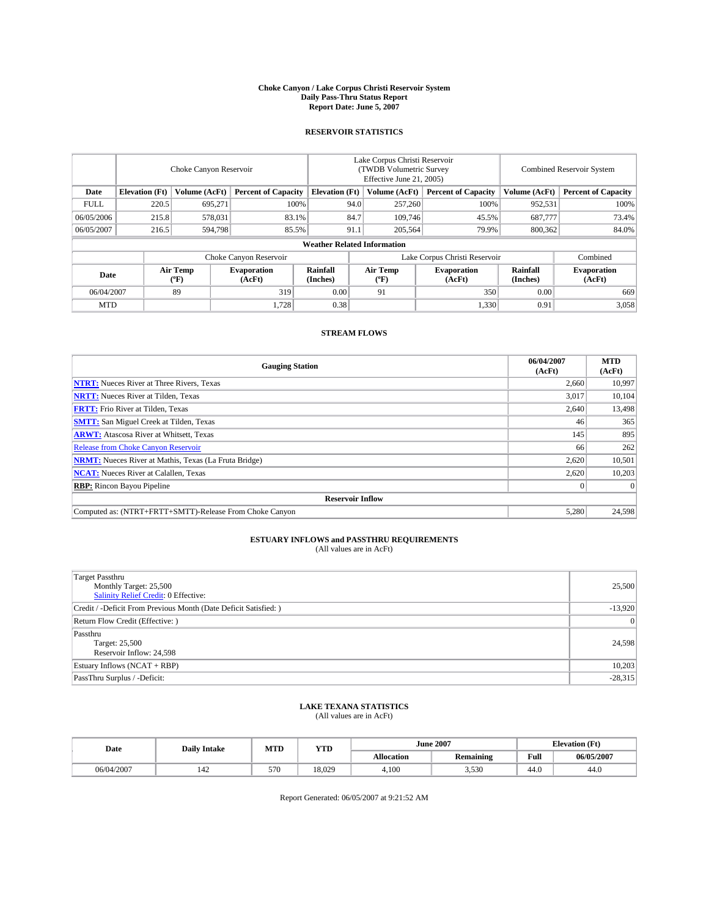#### **Choke Canyon / Lake Corpus Christi Reservoir System Daily Pass-Thru Status Report Report Date: June 5, 2007**

### **RESERVOIR STATISTICS**

|             | Choke Canyon Reservoir |                  |                              |                                    | Lake Corpus Christi Reservoir<br>(TWDB Volumetric Survey<br>Effective June 21, 2005) |                  |                               | Combined Reservoir System |                              |  |
|-------------|------------------------|------------------|------------------------------|------------------------------------|--------------------------------------------------------------------------------------|------------------|-------------------------------|---------------------------|------------------------------|--|
| Date        | <b>Elevation</b> (Ft)  | Volume (AcFt)    | <b>Percent of Capacity</b>   | <b>Elevation</b> (Ft)              |                                                                                      | Volume (AcFt)    | <b>Percent of Capacity</b>    | Volume (AcFt)             | <b>Percent of Capacity</b>   |  |
| <b>FULL</b> | 220.5                  | 695.271          |                              | 100%                               | 94.0                                                                                 | 257,260          | 100%                          | 952,531                   | 100%                         |  |
| 06/05/2006  | 215.8                  | 578,031          | 83.1%                        |                                    | 84.7                                                                                 | 109,746          | 45.5%                         | 687,777                   | 73.4%                        |  |
| 06/05/2007  | 216.5                  | 594,798          | 85.5%                        |                                    | 91.1                                                                                 | 205,564          | 79.9%                         | 800,362                   | 84.0%                        |  |
|             |                        |                  |                              | <b>Weather Related Information</b> |                                                                                      |                  |                               |                           |                              |  |
|             |                        |                  | Choke Canyon Reservoir       |                                    |                                                                                      |                  | Lake Corpus Christi Reservoir |                           | Combined                     |  |
| Date        |                        | Air Temp<br>(°F) | <b>Evaporation</b><br>(AcFt) | Rainfall<br>(Inches)               |                                                                                      | Air Temp<br>("F) | <b>Evaporation</b><br>(AcFt)  | Rainfall<br>(Inches)      | <b>Evaporation</b><br>(AcFt) |  |
| 06/04/2007  |                        | 89               | 319                          | 0.00                               |                                                                                      | 91               | 350                           | 0.00                      | 669                          |  |
| <b>MTD</b>  |                        |                  | 1,728                        | 0.38                               |                                                                                      |                  | 1,330                         | 0.91                      | 3,058                        |  |

### **STREAM FLOWS**

| <b>Gauging Station</b>                                       | 06/04/2007<br>(AcFt) | <b>MTD</b><br>(AcFt) |
|--------------------------------------------------------------|----------------------|----------------------|
| <b>NTRT:</b> Nueces River at Three Rivers, Texas             | 2,660                | 10,997               |
| <b>NRTT:</b> Nueces River at Tilden, Texas                   | 3.017                | 10,104               |
| <b>FRTT:</b> Frio River at Tilden, Texas                     | 2,640                | 13,498               |
| <b>SMTT:</b> San Miguel Creek at Tilden, Texas               | 46                   | 365                  |
| <b>ARWT:</b> Atascosa River at Whitsett, Texas               | 145                  | 895                  |
| <b>Release from Choke Canyon Reservoir</b>                   | 66                   | 262                  |
| <b>NRMT:</b> Nueces River at Mathis, Texas (La Fruta Bridge) | 2,620                | 10,501               |
| <b>NCAT:</b> Nueces River at Calallen, Texas                 | 2,620                | 10,203               |
| <b>RBP:</b> Rincon Bayou Pipeline                            |                      | $\Omega$             |
| <b>Reservoir Inflow</b>                                      |                      |                      |
| Computed as: (NTRT+FRTT+SMTT)-Release From Choke Canyon      | 5.280                | 24.598               |

# **ESTUARY INFLOWS and PASSTHRU REQUIREMENTS**<br>(All values are in AcFt)

| <b>Target Passthru</b><br>Monthly Target: 25,500<br>Salinity Relief Credit: 0 Effective: | 25,500    |
|------------------------------------------------------------------------------------------|-----------|
| Credit / -Deficit From Previous Month (Date Deficit Satisfied: )                         | $-13,920$ |
| Return Flow Credit (Effective:)                                                          | $\Omega$  |
| Passthru<br>Target: 25,500<br>Reservoir Inflow: 24,598                                   | 24,598    |
| Estuary Inflows (NCAT + RBP)                                                             | 10,203    |
| PassThru Surplus / -Deficit:                                                             | $-28,315$ |

## **LAKE TEXANA STATISTICS** (All values are in AcFt)

| Date       | <b>Daily Intake</b>   | MTD | <b>YTD</b> |                   | <b>June 2007</b> |      | <b>Elevation</b> (Ft) |  |
|------------|-----------------------|-----|------------|-------------------|------------------|------|-----------------------|--|
|            |                       |     |            | <b>Allocation</b> | <b>Remaining</b> | Full | 06/05/2007            |  |
| 06/04/2007 | $\overline{A}$<br>142 | 570 | 18.029     | 4.100             | 3,530            | 44.0 | 44.0                  |  |

Report Generated: 06/05/2007 at 9:21:52 AM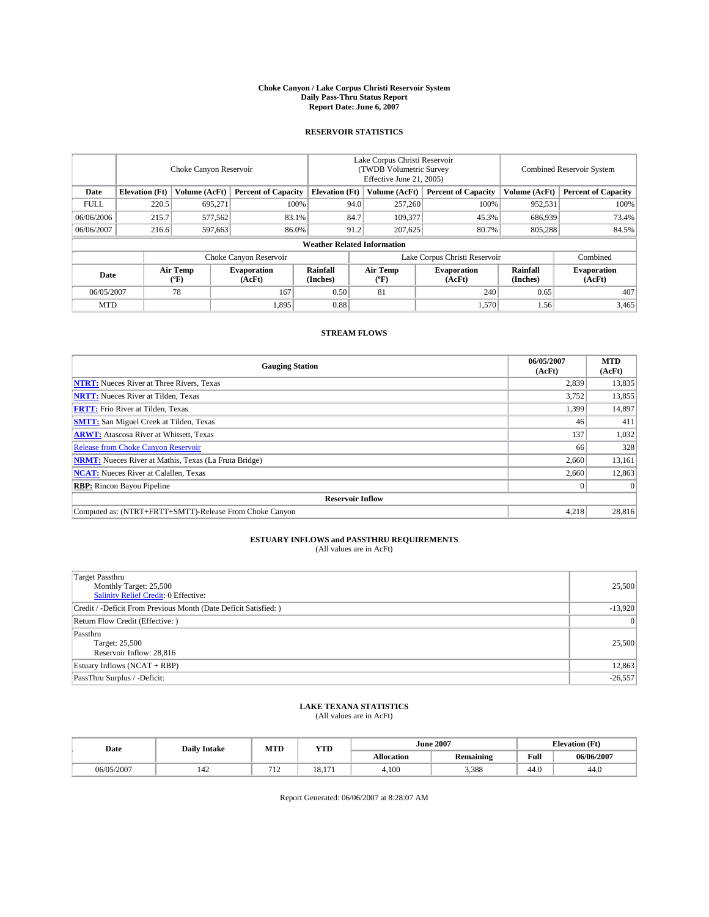#### **Choke Canyon / Lake Corpus Christi Reservoir System Daily Pass-Thru Status Report Report Date: June 6, 2007**

### **RESERVOIR STATISTICS**

|             | Choke Canyon Reservoir             |                  |                              |                       | Lake Corpus Christi Reservoir<br>(TWDB Volumetric Survey<br>Effective June 21, 2005) |                  |                               | Combined Reservoir System |                              |  |
|-------------|------------------------------------|------------------|------------------------------|-----------------------|--------------------------------------------------------------------------------------|------------------|-------------------------------|---------------------------|------------------------------|--|
| Date        | <b>Elevation</b> (Ft)              | Volume (AcFt)    | <b>Percent of Capacity</b>   | <b>Elevation</b> (Ft) |                                                                                      | Volume (AcFt)    | <b>Percent of Capacity</b>    | Volume (AcFt)             | <b>Percent of Capacity</b>   |  |
| <b>FULL</b> | 220.5                              | 695.271          | 100%                         |                       | 94.0                                                                                 | 257,260          | 100%                          | 952,531                   | 100%                         |  |
| 06/06/2006  | 215.7                              | 577,562          | 83.1%                        |                       | 84.7                                                                                 | 109,377          | 45.3%                         | 686,939                   | 73.4%                        |  |
| 06/06/2007  | 216.6                              | 597,663          | 86.0%                        |                       | 91.2                                                                                 | 207,625          | 80.7%                         | 805,288                   | 84.5%                        |  |
|             | <b>Weather Related Information</b> |                  |                              |                       |                                                                                      |                  |                               |                           |                              |  |
|             |                                    |                  | Choke Canyon Reservoir       |                       |                                                                                      |                  | Lake Corpus Christi Reservoir |                           | Combined                     |  |
| Date        |                                    | Air Temp<br>(°F) | <b>Evaporation</b><br>(AcFt) | Rainfall<br>(Inches)  |                                                                                      | Air Temp<br>("F) | <b>Evaporation</b><br>(AcFt)  | Rainfall<br>(Inches)      | <b>Evaporation</b><br>(AcFt) |  |
| 06/05/2007  |                                    | 78               | 167                          | 0.50                  |                                                                                      | 81               | 240                           | 0.65                      | 407                          |  |
| <b>MTD</b>  |                                    |                  | 1,895                        | 0.88                  |                                                                                      |                  | 1,570                         | 1.56                      | 3,465                        |  |

### **STREAM FLOWS**

| <b>Gauging Station</b>                                       | 06/05/2007<br>(AcFt) | <b>MTD</b><br>(AcFt) |
|--------------------------------------------------------------|----------------------|----------------------|
| <b>NTRT:</b> Nueces River at Three Rivers, Texas             | 2,839                | 13,835               |
| <b>NRTT:</b> Nueces River at Tilden, Texas                   | 3,752                | 13,855               |
| <b>FRTT:</b> Frio River at Tilden, Texas                     | 1,399                | 14,897               |
| <b>SMTT:</b> San Miguel Creek at Tilden, Texas               | 46                   | 411                  |
| <b>ARWT:</b> Atascosa River at Whitsett, Texas               | 137                  | 1,032                |
| <b>Release from Choke Canyon Reservoir</b>                   | 66                   | 328                  |
| <b>NRMT:</b> Nueces River at Mathis, Texas (La Fruta Bridge) | 2,660                | 13,161               |
| <b>NCAT:</b> Nueces River at Calallen, Texas                 | 2,660                | 12,863               |
| <b>RBP:</b> Rincon Bayou Pipeline                            |                      | $\Omega$             |
| <b>Reservoir Inflow</b>                                      |                      |                      |
| Computed as: (NTRT+FRTT+SMTT)-Release From Choke Canyon      | 4,218                | 28,816               |

# **ESTUARY INFLOWS and PASSTHRU REQUIREMENTS**<br>(All values are in AcFt)

| <b>Target Passthru</b><br>Monthly Target: 25,500<br>Salinity Relief Credit: 0 Effective: | 25,500    |
|------------------------------------------------------------------------------------------|-----------|
| Credit / -Deficit From Previous Month (Date Deficit Satisfied: )                         | $-13,920$ |
| Return Flow Credit (Effective:)                                                          | $\Omega$  |
| Passthru<br>Target: 25,500<br>Reservoir Inflow: 28,816                                   | 25,500    |
| Estuary Inflows (NCAT + RBP)                                                             | 12,863    |
| PassThru Surplus / -Deficit:                                                             | $-26,557$ |

## **LAKE TEXANA STATISTICS** (All values are in AcFt)

| Date       | <b>Daily Intake</b>   | MTD            | <b>YTD</b>             |                   | <b>June 2007</b> | <b>Elevation</b> (Ft) |            |
|------------|-----------------------|----------------|------------------------|-------------------|------------------|-----------------------|------------|
|            |                       |                |                        | <b>Allocation</b> | <b>Remaining</b> | Full                  | 06/06/2007 |
| 06/05/2007 | $\overline{A}$<br>142 | $\overline{1}$ | 1 Ω<br>$\sim$<br>0.1/1 | 4.100             | 3,388            | 44.0                  | 44.0       |

Report Generated: 06/06/2007 at 8:28:07 AM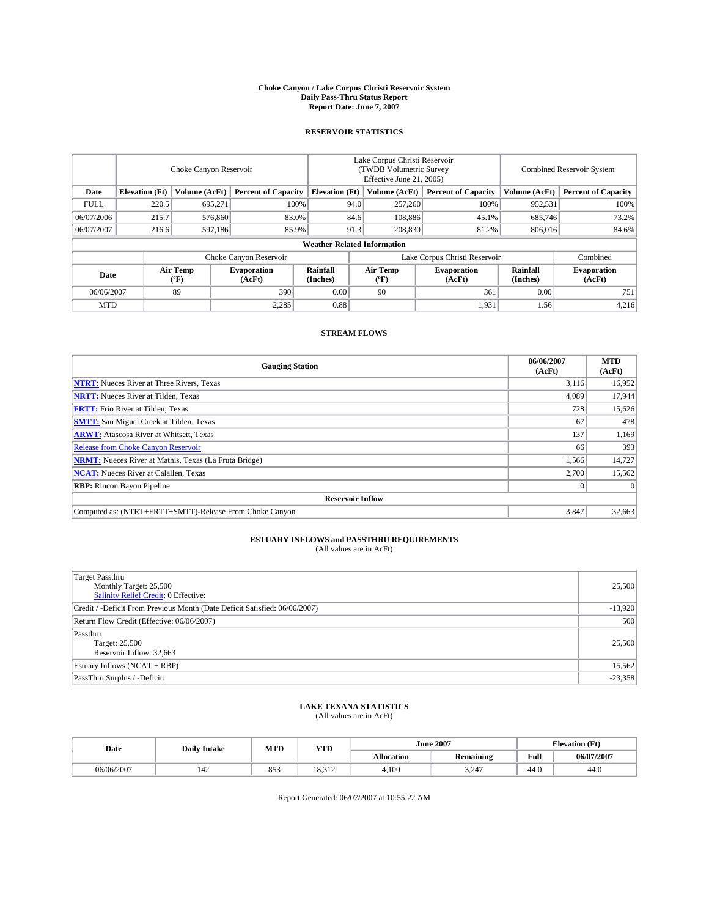#### **Choke Canyon / Lake Corpus Christi Reservoir System Daily Pass-Thru Status Report Report Date: June 7, 2007**

### **RESERVOIR STATISTICS**

|             | Choke Canyon Reservoir             |                  |                              |                       | Lake Corpus Christi Reservoir<br>(TWDB Volumetric Survey<br>Effective June 21, 2005) |                  |                               |                      | Combined Reservoir System    |  |  |
|-------------|------------------------------------|------------------|------------------------------|-----------------------|--------------------------------------------------------------------------------------|------------------|-------------------------------|----------------------|------------------------------|--|--|
| Date        | <b>Elevation</b> (Ft)              | Volume (AcFt)    | <b>Percent of Capacity</b>   | <b>Elevation</b> (Ft) |                                                                                      | Volume (AcFt)    | <b>Percent of Capacity</b>    | Volume (AcFt)        | <b>Percent of Capacity</b>   |  |  |
| <b>FULL</b> | 220.5                              | 695.271          | 100%                         |                       | 94.0                                                                                 | 257,260          | 100%                          | 952,531              | 100%                         |  |  |
| 06/07/2006  | 215.7                              | 576,860          | 83.0%                        |                       | 84.6                                                                                 | 108,886          | 45.1%                         | 685,746              | 73.2%                        |  |  |
| 06/07/2007  | 216.6                              | 597.186          | 85.9%                        |                       | 91.3                                                                                 | 208,830          | 81.2%                         | 806,016              | 84.6%                        |  |  |
|             | <b>Weather Related Information</b> |                  |                              |                       |                                                                                      |                  |                               |                      |                              |  |  |
|             |                                    |                  | Choke Canyon Reservoir       |                       |                                                                                      |                  | Lake Corpus Christi Reservoir |                      | Combined                     |  |  |
| Date        |                                    | Air Temp<br>(°F) | <b>Evaporation</b><br>(AcFt) | Rainfall<br>(Inches)  |                                                                                      | Air Temp<br>("F) | <b>Evaporation</b><br>(AcFt)  | Rainfall<br>(Inches) | <b>Evaporation</b><br>(AcFt) |  |  |
| 06/06/2007  |                                    | 89               | 390                          | 0.00                  |                                                                                      | 90               | 361                           | 0.00                 | 751                          |  |  |
| <b>MTD</b>  |                                    |                  | 2,285                        | 0.88                  |                                                                                      |                  | 1,931                         | 1.56                 | 4,216                        |  |  |

### **STREAM FLOWS**

| <b>Gauging Station</b>                                       | 06/06/2007<br>(AcFt) | <b>MTD</b><br>(AcFt) |
|--------------------------------------------------------------|----------------------|----------------------|
| <b>NTRT:</b> Nueces River at Three Rivers, Texas             | 3,116                | 16,952               |
| <b>NRTT:</b> Nueces River at Tilden, Texas                   | 4.089                | 17.944               |
| <b>FRTT:</b> Frio River at Tilden, Texas                     | 728                  | 15,626               |
| <b>SMTT:</b> San Miguel Creek at Tilden, Texas               | 67                   | 478                  |
| <b>ARWT:</b> Atascosa River at Whitsett, Texas               | 137                  | 1,169                |
| <b>Release from Choke Canyon Reservoir</b>                   | 66                   | 393                  |
| <b>NRMT:</b> Nueces River at Mathis, Texas (La Fruta Bridge) | 1,566                | 14,727               |
| <b>NCAT:</b> Nueces River at Calallen, Texas                 | 2,700                | 15,562               |
| <b>RBP:</b> Rincon Bayou Pipeline                            |                      | $\Omega$             |
| <b>Reservoir Inflow</b>                                      |                      |                      |
| Computed as: (NTRT+FRTT+SMTT)-Release From Choke Canyon      | 3.847                | 32,663               |

# **ESTUARY INFLOWS and PASSTHRU REQUIREMENTS**<br>(All values are in AcFt)

| <b>Target Passthru</b><br>Monthly Target: 25,500<br>Salinity Relief Credit: 0 Effective: | 25,500    |
|------------------------------------------------------------------------------------------|-----------|
| Credit / -Deficit From Previous Month (Date Deficit Satisfied: 06/06/2007)               | $-13,920$ |
| Return Flow Credit (Effective: 06/06/2007)                                               | 500       |
| Passthru<br>Target: 25,500<br>Reservoir Inflow: 32,663                                   | 25,500    |
| Estuary Inflows (NCAT + RBP)                                                             | 15,562    |
| PassThru Surplus / -Deficit:                                                             | $-23,358$ |

## **LAKE TEXANA STATISTICS** (All values are in AcFt)

| Date       | <b>Daily Intake</b>   | MTD | <b>YTD</b>      |                   | <b>June 2007</b> | <b>Elevation</b> (Ft) |            |
|------------|-----------------------|-----|-----------------|-------------------|------------------|-----------------------|------------|
|            |                       |     |                 | <b>Allocation</b> | <b>Remaining</b> | Full                  | 06/07/2007 |
| 06/06/2007 | $\overline{A}$<br>142 | 853 | 10.212<br>0.JIZ | 4.100             | 3.247            | 44.0                  | 44.0       |

Report Generated: 06/07/2007 at 10:55:22 AM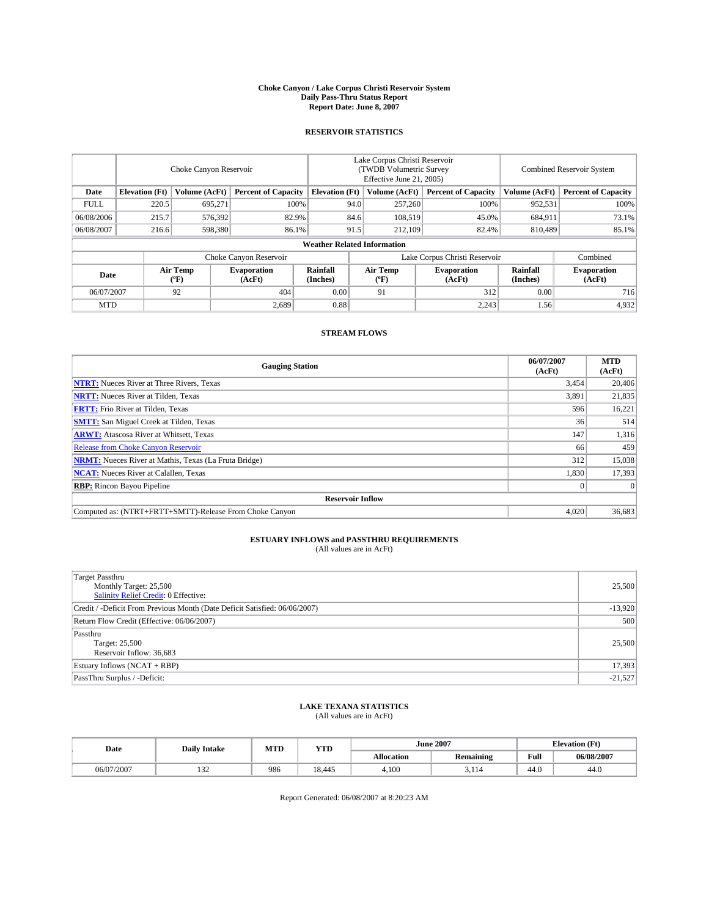#### **Choke Canyon / Lake Corpus Christi Reservoir System Daily Pass-Thru Status Report Report Date: June 8, 2007**

### **RESERVOIR STATISTICS**

|             | Choke Canyon Reservoir             |                  |                              |                       | Lake Corpus Christi Reservoir<br>(TWDB Volumetric Survey<br>Effective June 21, 2005) |                  |                               |                      | Combined Reservoir System    |  |  |
|-------------|------------------------------------|------------------|------------------------------|-----------------------|--------------------------------------------------------------------------------------|------------------|-------------------------------|----------------------|------------------------------|--|--|
| Date        | <b>Elevation</b> (Ft)              | Volume (AcFt)    | <b>Percent of Capacity</b>   | <b>Elevation</b> (Ft) |                                                                                      | Volume (AcFt)    | <b>Percent of Capacity</b>    | Volume (AcFt)        | <b>Percent of Capacity</b>   |  |  |
| <b>FULL</b> | 220.5                              | 695,271          |                              | 100%                  | 94.0                                                                                 | 257,260          | 100%                          | 952,531              | 100%                         |  |  |
| 06/08/2006  | 215.7                              | 576,392          | 82.9%                        |                       | 84.6                                                                                 | 108,519          | 45.0%                         | 684,911              | 73.1%                        |  |  |
| 06/08/2007  | 216.6                              | 598,380          | 86.1%                        |                       | 91.5                                                                                 | 212,109          | 82.4%                         | 810,489              | 85.1%                        |  |  |
|             | <b>Weather Related Information</b> |                  |                              |                       |                                                                                      |                  |                               |                      |                              |  |  |
|             |                                    |                  | Choke Canyon Reservoir       |                       |                                                                                      |                  | Lake Corpus Christi Reservoir |                      | Combined                     |  |  |
| Date        |                                    | Air Temp<br>(°F) | <b>Evaporation</b><br>(AcFt) | Rainfall<br>(Inches)  |                                                                                      | Air Temp<br>("F) | <b>Evaporation</b><br>(AcFt)  | Rainfall<br>(Inches) | <b>Evaporation</b><br>(AcFt) |  |  |
| 06/07/2007  |                                    | 92               | 404                          | 0.00                  |                                                                                      | 91               | 312                           | 0.00                 | 716                          |  |  |
| <b>MTD</b>  |                                    |                  | 2,689                        | 0.88                  |                                                                                      |                  | 2,243                         | 1.56                 | 4,932                        |  |  |

### **STREAM FLOWS**

| <b>Gauging Station</b>                                       | 06/07/2007<br>(AcFt) | <b>MTD</b><br>(AcFt) |
|--------------------------------------------------------------|----------------------|----------------------|
| <b>NTRT:</b> Nueces River at Three Rivers, Texas             | 3,454                | 20,406               |
| <b>NRTT:</b> Nueces River at Tilden, Texas                   | 3,891                | 21,835               |
| <b>FRTT:</b> Frio River at Tilden, Texas                     | 596                  | 16,221               |
| <b>SMTT:</b> San Miguel Creek at Tilden, Texas               | 36                   | 514                  |
| <b>ARWT:</b> Atascosa River at Whitsett, Texas               | 147                  | 1,316                |
| <b>Release from Choke Canyon Reservoir</b>                   | 66                   | 459                  |
| <b>NRMT:</b> Nueces River at Mathis, Texas (La Fruta Bridge) | 312                  | 15,038               |
| <b>NCAT:</b> Nueces River at Calallen, Texas                 | 1,830                | 17,393               |
| <b>RBP:</b> Rincon Bayou Pipeline                            |                      | $\Omega$             |
| <b>Reservoir Inflow</b>                                      |                      |                      |
| Computed as: (NTRT+FRTT+SMTT)-Release From Choke Canyon      | 4.020                | 36,683               |

# **ESTUARY INFLOWS and PASSTHRU REQUIREMENTS**<br>(All values are in AcFt)

| <b>Target Passthru</b><br>Monthly Target: 25,500<br>Salinity Relief Credit: 0 Effective: | 25,500    |
|------------------------------------------------------------------------------------------|-----------|
| Credit / -Deficit From Previous Month (Date Deficit Satisfied: 06/06/2007)               | $-13,920$ |
| Return Flow Credit (Effective: 06/06/2007)                                               | 500       |
| Passthru<br>Target: 25,500<br>Reservoir Inflow: 36,683                                   | 25,500    |
| Estuary Inflows (NCAT + RBP)                                                             | 17,393    |
| PassThru Surplus / -Deficit:                                                             | $-21,527$ |

## **LAKE TEXANA STATISTICS** (All values are in AcFt)

| Date       | <b>Daily Intake</b> | MTD | <b>YTD</b>  |                   | <b>June 2007</b> | <b>Elevation</b> (Ft) |            |
|------------|---------------------|-----|-------------|-------------------|------------------|-----------------------|------------|
|            |                     |     |             | <b>Allocation</b> | <b>Remaining</b> | Full                  | 06/08/2007 |
| 06/07/2007 | $\sim$<br>194       | 986 | 10<br>8.445 | 4.100             | 3.II4            | 44.0                  | 44.0       |

Report Generated: 06/08/2007 at 8:20:23 AM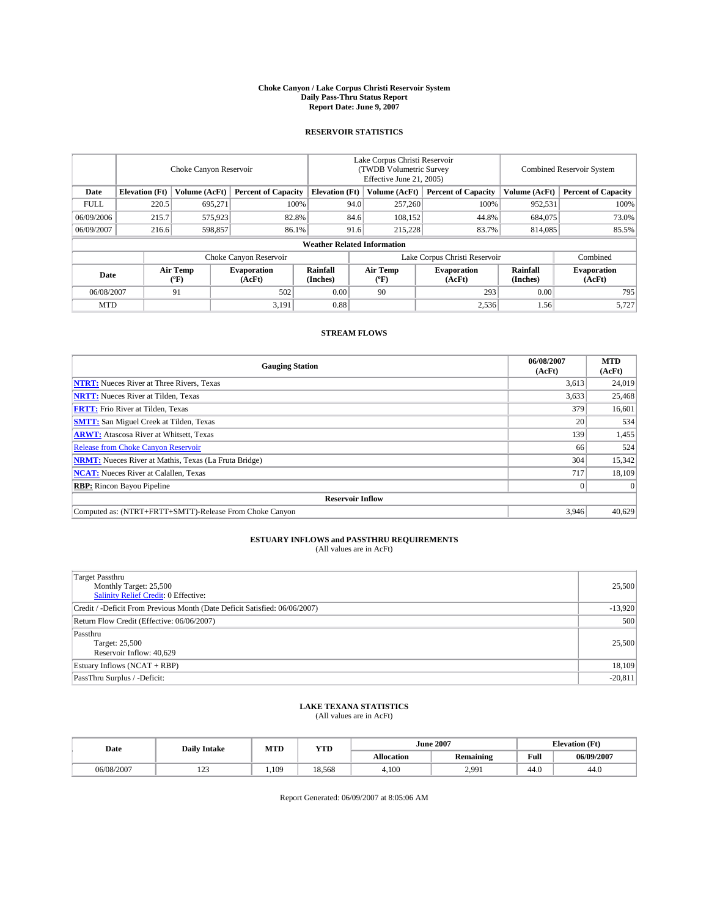#### **Choke Canyon / Lake Corpus Christi Reservoir System Daily Pass-Thru Status Report Report Date: June 9, 2007**

### **RESERVOIR STATISTICS**

|             | Choke Canyon Reservoir             |                  |                              |                       | Lake Corpus Christi Reservoir<br>(TWDB Volumetric Survey<br>Effective June 21, 2005) |                  |                               |                      | Combined Reservoir System    |  |  |
|-------------|------------------------------------|------------------|------------------------------|-----------------------|--------------------------------------------------------------------------------------|------------------|-------------------------------|----------------------|------------------------------|--|--|
| Date        | <b>Elevation</b> (Ft)              | Volume (AcFt)    | <b>Percent of Capacity</b>   | <b>Elevation</b> (Ft) |                                                                                      | Volume (AcFt)    | <b>Percent of Capacity</b>    | Volume (AcFt)        | <b>Percent of Capacity</b>   |  |  |
| <b>FULL</b> | 220.5                              | 695,271          | 100%                         |                       | 94.0                                                                                 | 257,260          | 100%                          | 952,531              | 100%                         |  |  |
| 06/09/2006  | 215.7                              | 575,923          | 82.8%                        |                       | 84.6                                                                                 | 108,152          | 44.8%                         | 684,075              | 73.0%                        |  |  |
| 06/09/2007  | 216.6                              | 598,857          | 86.1%                        |                       | 91.6                                                                                 | 215,228          | 83.7%                         | 814,085              | 85.5%                        |  |  |
|             | <b>Weather Related Information</b> |                  |                              |                       |                                                                                      |                  |                               |                      |                              |  |  |
|             |                                    |                  | Choke Canyon Reservoir       |                       |                                                                                      |                  | Lake Corpus Christi Reservoir |                      | Combined                     |  |  |
| Date        |                                    | Air Temp<br>(°F) | <b>Evaporation</b><br>(AcFt) | Rainfall<br>(Inches)  |                                                                                      | Air Temp<br>("F) | <b>Evaporation</b><br>(AcFt)  | Rainfall<br>(Inches) | <b>Evaporation</b><br>(AcFt) |  |  |
| 06/08/2007  |                                    | 91               | 502                          | 0.00                  |                                                                                      | 90               | 293                           | 0.00                 | 795                          |  |  |
| <b>MTD</b>  |                                    |                  | 3,191                        | 0.88                  |                                                                                      |                  | 2,536                         | 1.56                 | 5,727                        |  |  |

### **STREAM FLOWS**

| <b>Gauging Station</b>                                       | 06/08/2007<br>(AcFt) | <b>MTD</b><br>(AcFt) |
|--------------------------------------------------------------|----------------------|----------------------|
| <b>NTRT:</b> Nueces River at Three Rivers, Texas             | 3,613                | 24,019               |
| <b>NRTT:</b> Nueces River at Tilden, Texas                   | 3,633                | 25,468               |
| <b>FRTT:</b> Frio River at Tilden, Texas                     | 379                  | 16,601               |
| <b>SMTT:</b> San Miguel Creek at Tilden, Texas               | 20                   | 534                  |
| <b>ARWT:</b> Atascosa River at Whitsett, Texas               | 139                  | 1,455                |
| <b>Release from Choke Canyon Reservoir</b>                   | 66                   | 524                  |
| <b>NRMT:</b> Nueces River at Mathis, Texas (La Fruta Bridge) | 304                  | 15,342               |
| <b>NCAT:</b> Nueces River at Calallen, Texas                 | 717                  | 18,109               |
| <b>RBP:</b> Rincon Bayou Pipeline                            |                      | $\Omega$             |
| <b>Reservoir Inflow</b>                                      |                      |                      |
| Computed as: (NTRT+FRTT+SMTT)-Release From Choke Canyon      | 3.946                | 40.629               |

# **ESTUARY INFLOWS and PASSTHRU REQUIREMENTS**<br>(All values are in AcFt)

| <b>Target Passthru</b><br>Monthly Target: 25,500<br>Salinity Relief Credit: 0 Effective: | 25,500    |
|------------------------------------------------------------------------------------------|-----------|
| Credit / -Deficit From Previous Month (Date Deficit Satisfied: 06/06/2007)               | $-13,920$ |
| Return Flow Credit (Effective: 06/06/2007)                                               | 500       |
| Passthru<br>Target: 25,500<br>Reservoir Inflow: 40,629                                   | 25,500    |
| Estuary Inflows (NCAT + RBP)                                                             | 18,109    |
| PassThru Surplus / -Deficit:                                                             | $-20,811$ |

## **LAKE TEXANA STATISTICS** (All values are in AcFt)

| Date       | <b>Daily Intake</b> | MTD  | <b>YTD</b> |                   | <b>June 2007</b> |      | <b>Elevation</b> (Ft) |
|------------|---------------------|------|------------|-------------------|------------------|------|-----------------------|
|            |                     |      |            | <b>Allocation</b> | <b>Remaining</b> | Full | 06/09/2007            |
| 06/08/2007 | 100<br>ل کے 1       | .109 | 18.568     | 4.100             | 2,991            | 44.0 | 44.0                  |

Report Generated: 06/09/2007 at 8:05:06 AM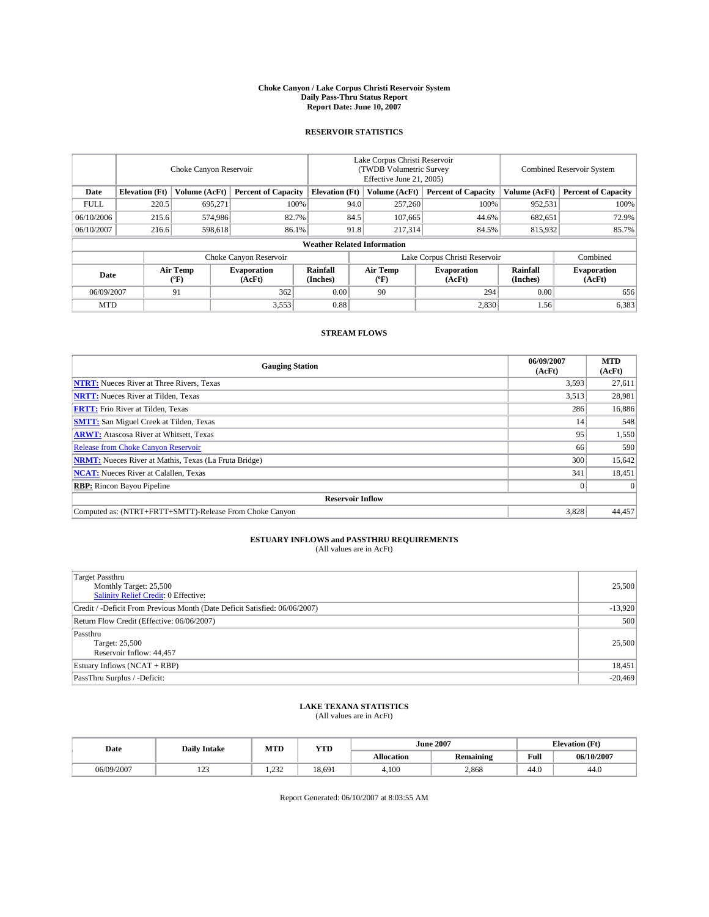#### **Choke Canyon / Lake Corpus Christi Reservoir System Daily Pass-Thru Status Report Report Date: June 10, 2007**

### **RESERVOIR STATISTICS**

|             | Choke Canyon Reservoir             |                  |                              |                       | Lake Corpus Christi Reservoir<br>(TWDB Volumetric Survey<br>Effective June 21, 2005) |                  |                               |                      | Combined Reservoir System    |  |  |
|-------------|------------------------------------|------------------|------------------------------|-----------------------|--------------------------------------------------------------------------------------|------------------|-------------------------------|----------------------|------------------------------|--|--|
| Date        | <b>Elevation</b> (Ft)              | Volume (AcFt)    | <b>Percent of Capacity</b>   | <b>Elevation</b> (Ft) |                                                                                      | Volume (AcFt)    | <b>Percent of Capacity</b>    | Volume (AcFt)        | <b>Percent of Capacity</b>   |  |  |
| <b>FULL</b> | 220.5                              | 695.271          | 100%                         |                       | 94.0                                                                                 | 257,260          | 100%                          | 952,531              | 100%                         |  |  |
| 06/10/2006  | 215.6                              | 574,986          | 82.7%                        |                       | 84.5                                                                                 | 107,665          | 44.6%                         | 682,651              | 72.9%                        |  |  |
| 06/10/2007  | 216.6                              | 598.618          | 86.1%                        |                       | 91.8                                                                                 | 217,314          | 84.5%                         | 815,932              | 85.7%                        |  |  |
|             | <b>Weather Related Information</b> |                  |                              |                       |                                                                                      |                  |                               |                      |                              |  |  |
|             |                                    |                  | Choke Canyon Reservoir       |                       |                                                                                      |                  | Lake Corpus Christi Reservoir |                      | Combined                     |  |  |
| Date        |                                    | Air Temp<br>(°F) | <b>Evaporation</b><br>(AcFt) | Rainfall<br>(Inches)  |                                                                                      | Air Temp<br>("F) | <b>Evaporation</b><br>(AcFt)  | Rainfall<br>(Inches) | <b>Evaporation</b><br>(AcFt) |  |  |
| 06/09/2007  |                                    | 91               | 362                          | 0.00                  |                                                                                      | 90               | 294                           | 0.00                 | 656                          |  |  |
| <b>MTD</b>  |                                    |                  | 3,553                        | 0.88                  |                                                                                      |                  | 2,830                         | 1.56                 | 6,383                        |  |  |

### **STREAM FLOWS**

| <b>Gauging Station</b>                                       | 06/09/2007<br>(AcFt) | <b>MTD</b><br>(AcFt) |
|--------------------------------------------------------------|----------------------|----------------------|
| <b>NTRT:</b> Nueces River at Three Rivers, Texas             | 3,593                | 27,611               |
| <b>NRTT:</b> Nueces River at Tilden, Texas                   | 3,513                | 28,981               |
| <b>FRTT:</b> Frio River at Tilden, Texas                     | 286                  | 16,886               |
| <b>SMTT:</b> San Miguel Creek at Tilden, Texas               | 14                   | 548                  |
| <b>ARWT:</b> Atascosa River at Whitsett, Texas               | 95                   | 1,550                |
| <b>Release from Choke Canyon Reservoir</b>                   | 66                   | 590                  |
| <b>NRMT:</b> Nueces River at Mathis, Texas (La Fruta Bridge) | 300                  | 15,642               |
| <b>NCAT:</b> Nueces River at Calallen, Texas                 | 341                  | 18,451               |
| <b>RBP:</b> Rincon Bayou Pipeline                            |                      | $\Omega$             |
| <b>Reservoir Inflow</b>                                      |                      |                      |
| Computed as: (NTRT+FRTT+SMTT)-Release From Choke Canyon      | 3,828                | 44.457               |

# **ESTUARY INFLOWS and PASSTHRU REQUIREMENTS**<br>(All values are in AcFt)

| <b>Target Passthru</b><br>Monthly Target: 25,500<br>Salinity Relief Credit: 0 Effective: | 25,500    |
|------------------------------------------------------------------------------------------|-----------|
| Credit / -Deficit From Previous Month (Date Deficit Satisfied: 06/06/2007)               | $-13,920$ |
| Return Flow Credit (Effective: 06/06/2007)                                               | 500       |
| Passthru<br>Target: 25,500<br>Reservoir Inflow: 44,457                                   | 25,500    |
| Estuary Inflows (NCAT + RBP)                                                             | 18,451    |
| PassThru Surplus / -Deficit:                                                             | $-20,469$ |

## **LAKE TEXANA STATISTICS** (All values are in AcFt)

| Date       | <b>Daily Intake</b> | MTD          | <b>YTD</b> |                   | <b>June 2007</b> | <b>Elevation</b> (Ft) |            |
|------------|---------------------|--------------|------------|-------------------|------------------|-----------------------|------------|
|            |                     |              |            | <b>Allocation</b> | <b>Remaining</b> | Full                  | 06/10/2007 |
| 06/09/2007 | 100<br>ل کے 1       | 233<br>1.232 | 18,691     | 4.100             | 2,868            | 44.0                  | 44.0       |

Report Generated: 06/10/2007 at 8:03:55 AM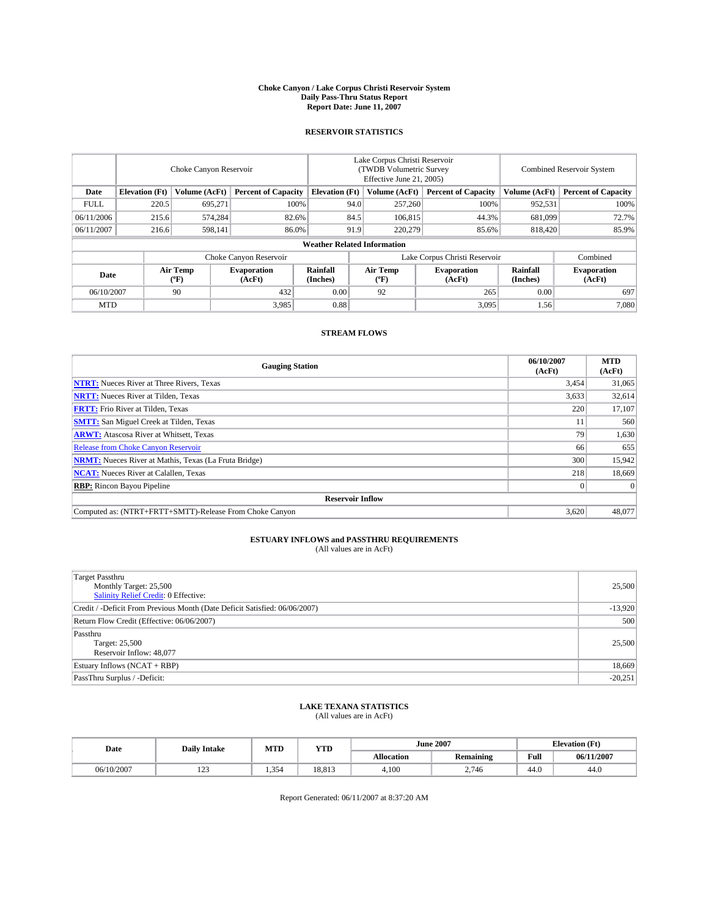#### **Choke Canyon / Lake Corpus Christi Reservoir System Daily Pass-Thru Status Report Report Date: June 11, 2007**

### **RESERVOIR STATISTICS**

|             | Choke Canyon Reservoir             |                  |                              |                       | Lake Corpus Christi Reservoir<br>(TWDB Volumetric Survey<br>Effective June 21, 2005) |                  |                               |                      | Combined Reservoir System    |  |  |
|-------------|------------------------------------|------------------|------------------------------|-----------------------|--------------------------------------------------------------------------------------|------------------|-------------------------------|----------------------|------------------------------|--|--|
| Date        | <b>Elevation</b> (Ft)              | Volume (AcFt)    | <b>Percent of Capacity</b>   | <b>Elevation</b> (Ft) |                                                                                      | Volume (AcFt)    | <b>Percent of Capacity</b>    | Volume (AcFt)        | <b>Percent of Capacity</b>   |  |  |
| <b>FULL</b> | 220.5                              | 695.271          | 100%                         |                       | 94.0                                                                                 | 257,260          | 100%                          | 952,531              | 100%                         |  |  |
| 06/11/2006  | 215.6                              | 574,284          | 82.6%                        |                       | 84.5                                                                                 | 106,815          | 44.3%                         | 681,099              | 72.7%                        |  |  |
| 06/11/2007  | 216.6                              | 598,141          | 86.0%                        |                       | 91.9                                                                                 | 220,279          | 85.6%                         | 818,420              | 85.9%                        |  |  |
|             | <b>Weather Related Information</b> |                  |                              |                       |                                                                                      |                  |                               |                      |                              |  |  |
|             |                                    |                  | Choke Canyon Reservoir       |                       |                                                                                      |                  | Lake Corpus Christi Reservoir |                      | Combined                     |  |  |
| Date        |                                    | Air Temp<br>(°F) | <b>Evaporation</b><br>(AcFt) | Rainfall<br>(Inches)  |                                                                                      | Air Temp<br>("F) | <b>Evaporation</b><br>(AcFt)  | Rainfall<br>(Inches) | <b>Evaporation</b><br>(AcFt) |  |  |
| 06/10/2007  |                                    | 90               | 432                          | 0.00                  |                                                                                      | 92               | 265                           | 0.00                 | 697                          |  |  |
| <b>MTD</b>  |                                    |                  | 3,985                        | 0.88                  |                                                                                      |                  | 3,095                         | 1.56                 | 7,080                        |  |  |

### **STREAM FLOWS**

| <b>Gauging Station</b>                                       | 06/10/2007<br>(AcFt) | <b>MTD</b><br>(AcFt) |
|--------------------------------------------------------------|----------------------|----------------------|
| <b>NTRT:</b> Nueces River at Three Rivers, Texas             | 3,454                | 31,065               |
| <b>NRTT:</b> Nueces River at Tilden, Texas                   | 3,633                | 32,614               |
| <b>FRTT:</b> Frio River at Tilden, Texas                     | 220                  | 17,107               |
| <b>SMTT:</b> San Miguel Creek at Tilden, Texas               | 11                   | 560                  |
| <b>ARWT:</b> Atascosa River at Whitsett, Texas               | 79                   | 1,630                |
| <b>Release from Choke Canyon Reservoir</b>                   | 66                   | 655                  |
| <b>NRMT:</b> Nueces River at Mathis, Texas (La Fruta Bridge) | 300                  | 15,942               |
| <b>NCAT:</b> Nueces River at Calallen, Texas                 | 218                  | 18,669               |
| <b>RBP:</b> Rincon Bayou Pipeline                            |                      | $\Omega$             |
| <b>Reservoir Inflow</b>                                      |                      |                      |
| Computed as: (NTRT+FRTT+SMTT)-Release From Choke Canyon      | 3.620                | 48.077               |

# **ESTUARY INFLOWS and PASSTHRU REQUIREMENTS**<br>(All values are in AcFt)

| <b>Target Passthru</b><br>Monthly Target: 25,500<br>Salinity Relief Credit: 0 Effective: | 25,500    |
|------------------------------------------------------------------------------------------|-----------|
| Credit / -Deficit From Previous Month (Date Deficit Satisfied: 06/06/2007)               | $-13,920$ |
| Return Flow Credit (Effective: 06/06/2007)                                               | 500       |
| Passthru<br>Target: 25,500<br>Reservoir Inflow: 48,077                                   | 25,500    |
| Estuary Inflows (NCAT + RBP)                                                             | 18,669    |
| PassThru Surplus / -Deficit:                                                             | $-20,251$ |

## **LAKE TEXANA STATISTICS** (All values are in AcFt)

| Date       | <b>Daily Intake</b> | MTD   | <b>YTD</b> |                   | <b>June 2007</b> | <b>Elevation</b> (Ft) |            |
|------------|---------------------|-------|------------|-------------------|------------------|-----------------------|------------|
|            |                     |       |            | <b>Allocation</b> | <b>Remaining</b> | Full                  | 06/11/2007 |
| 06/10/2007 | 122<br>ل کے 1       | 1.354 | 18.813     | 4.100             | 2.746            | 44.0                  | 44.0       |

Report Generated: 06/11/2007 at 8:37:20 AM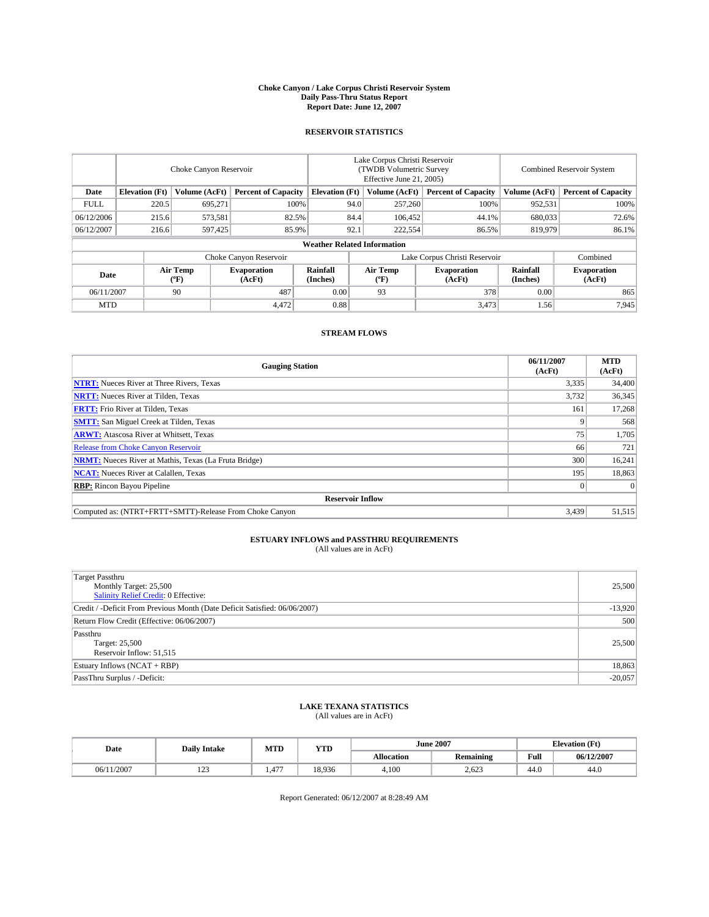#### **Choke Canyon / Lake Corpus Christi Reservoir System Daily Pass-Thru Status Report Report Date: June 12, 2007**

### **RESERVOIR STATISTICS**

|             | Choke Canyon Reservoir             |                  |                              |                       | Lake Corpus Christi Reservoir<br>(TWDB Volumetric Survey<br>Effective June 21, 2005) |                  |                               | Combined Reservoir System |                              |  |
|-------------|------------------------------------|------------------|------------------------------|-----------------------|--------------------------------------------------------------------------------------|------------------|-------------------------------|---------------------------|------------------------------|--|
| Date        | <b>Elevation</b> (Ft)              | Volume (AcFt)    | <b>Percent of Capacity</b>   | <b>Elevation</b> (Ft) |                                                                                      | Volume (AcFt)    | <b>Percent of Capacity</b>    | Volume (AcFt)             | <b>Percent of Capacity</b>   |  |
| <b>FULL</b> | 220.5                              | 695.271          | 100%                         |                       | 94.0                                                                                 | 257,260          | 100%                          | 952,531                   | 100%                         |  |
| 06/12/2006  | 215.6                              | 573,581          | 82.5%                        |                       | 84.4                                                                                 | 106,452          | 44.1%                         | 680,033                   | 72.6%                        |  |
| 06/12/2007  | 216.6                              | 597,425          | 85.9%                        |                       | 92.1                                                                                 | 222,554          | 86.5%                         | 819,979                   | 86.1%                        |  |
|             | <b>Weather Related Information</b> |                  |                              |                       |                                                                                      |                  |                               |                           |                              |  |
|             |                                    |                  | Choke Canyon Reservoir       |                       |                                                                                      |                  | Lake Corpus Christi Reservoir |                           | Combined                     |  |
| Date        |                                    | Air Temp<br>(°F) | <b>Evaporation</b><br>(AcFt) | Rainfall<br>(Inches)  |                                                                                      | Air Temp<br>("F) | <b>Evaporation</b><br>(AcFt)  | Rainfall<br>(Inches)      | <b>Evaporation</b><br>(AcFt) |  |
| 06/11/2007  |                                    | 90               | 487                          | 0.00                  |                                                                                      | 93               | 378                           | 0.00                      | 865                          |  |
| <b>MTD</b>  |                                    |                  | 4.472                        | 0.88                  |                                                                                      |                  | 3,473                         | 1.56                      | 7,945                        |  |

### **STREAM FLOWS**

| <b>Gauging Station</b>                                       | 06/11/2007<br>(AcFt) | <b>MTD</b><br>(AcFt) |
|--------------------------------------------------------------|----------------------|----------------------|
| <b>NTRT:</b> Nueces River at Three Rivers, Texas             | 3,335                | 34,400               |
| <b>NRTT:</b> Nueces River at Tilden, Texas                   | 3,732                | 36,345               |
| <b>FRTT:</b> Frio River at Tilden, Texas                     | 161                  | 17,268               |
| <b>SMTT:</b> San Miguel Creek at Tilden, Texas               |                      | 568                  |
| <b>ARWT:</b> Atascosa River at Whitsett, Texas               | 75                   | 1,705                |
| <b>Release from Choke Canyon Reservoir</b>                   | 66                   | 721                  |
| <b>NRMT:</b> Nueces River at Mathis, Texas (La Fruta Bridge) | 300                  | 16,241               |
| <b>NCAT:</b> Nueces River at Calallen, Texas                 | 195                  | 18,863               |
| <b>RBP:</b> Rincon Bayou Pipeline                            |                      | $\Omega$             |
| <b>Reservoir Inflow</b>                                      |                      |                      |
| Computed as: (NTRT+FRTT+SMTT)-Release From Choke Canyon      | 3.439                | 51,515               |

# **ESTUARY INFLOWS and PASSTHRU REQUIREMENTS**<br>(All values are in AcFt)

| <b>Target Passthru</b><br>Monthly Target: 25,500<br>Salinity Relief Credit: 0 Effective: | 25,500    |
|------------------------------------------------------------------------------------------|-----------|
| Credit / -Deficit From Previous Month (Date Deficit Satisfied: 06/06/2007)               | $-13,920$ |
| Return Flow Credit (Effective: 06/06/2007)                                               | 500       |
| Passthru<br>Target: 25,500<br>Reservoir Inflow: 51,515                                   | 25,500    |
| Estuary Inflows (NCAT + RBP)                                                             | 18,863    |
| PassThru Surplus / -Deficit:                                                             | $-20,057$ |

## **LAKE TEXANA STATISTICS** (All values are in AcFt)

| Date       | <b>Daily Intake</b> | MTD         | <b>YTD</b> |                   | <b>June 2007</b> | <b>Elevation</b> (Ft) |            |
|------------|---------------------|-------------|------------|-------------------|------------------|-----------------------|------------|
|            |                     |             |            | <b>Allocation</b> | <b>Remaining</b> | Full                  | 06/12/2007 |
| 06/11/2007 | $\sim$<br>ل کے 1    | 477<br>1.41 | 18.936     | 4.100             | 2,623            | 44.0                  | 44.0       |

Report Generated: 06/12/2007 at 8:28:49 AM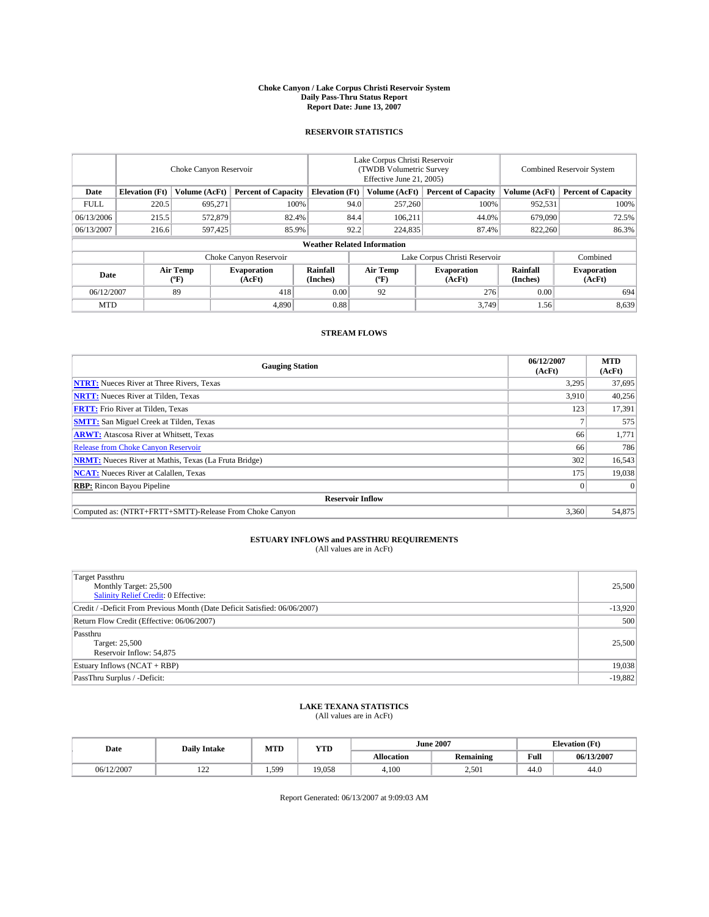#### **Choke Canyon / Lake Corpus Christi Reservoir System Daily Pass-Thru Status Report Report Date: June 13, 2007**

### **RESERVOIR STATISTICS**

|             | Choke Canyon Reservoir             |                  |                              |                       | Lake Corpus Christi Reservoir<br>(TWDB Volumetric Survey<br>Effective June 21, 2005) |                  |                               |                      | Combined Reservoir System    |  |  |
|-------------|------------------------------------|------------------|------------------------------|-----------------------|--------------------------------------------------------------------------------------|------------------|-------------------------------|----------------------|------------------------------|--|--|
| Date        | <b>Elevation</b> (Ft)              | Volume (AcFt)    | <b>Percent of Capacity</b>   | <b>Elevation</b> (Ft) |                                                                                      | Volume (AcFt)    | <b>Percent of Capacity</b>    | Volume (AcFt)        | <b>Percent of Capacity</b>   |  |  |
| <b>FULL</b> | 220.5                              | 695,271          |                              | 100%                  | 94.0                                                                                 | 257,260          | 100%                          | 952,531              | 100%                         |  |  |
| 06/13/2006  | 215.5                              | 572,879          | 82.4%                        |                       | 84.4                                                                                 | 106,211          | 44.0%                         | 679,090              | 72.5%                        |  |  |
| 06/13/2007  | 216.6                              | 597,425          | 85.9%                        |                       | 92.2                                                                                 | 224,835          | 87.4%                         | 822,260              | 86.3%                        |  |  |
|             | <b>Weather Related Information</b> |                  |                              |                       |                                                                                      |                  |                               |                      |                              |  |  |
|             |                                    |                  | Choke Canyon Reservoir       |                       |                                                                                      |                  | Lake Corpus Christi Reservoir |                      | Combined                     |  |  |
| Date        |                                    | Air Temp<br>(°F) | <b>Evaporation</b><br>(AcFt) | Rainfall<br>(Inches)  |                                                                                      | Air Temp<br>("F) | <b>Evaporation</b><br>(AcFt)  | Rainfall<br>(Inches) | <b>Evaporation</b><br>(AcFt) |  |  |
| 06/12/2007  |                                    | 89               | 418                          | 0.00                  |                                                                                      | 92               | 276                           | 0.00                 | 694                          |  |  |
| <b>MTD</b>  |                                    |                  | 4,890                        | 0.88                  |                                                                                      |                  | 3,749                         | 1.56                 | 8,639                        |  |  |

### **STREAM FLOWS**

| <b>Gauging Station</b>                                       | 06/12/2007<br>(AcFt) | <b>MTD</b><br>(AcFt) |
|--------------------------------------------------------------|----------------------|----------------------|
| <b>NTRT:</b> Nueces River at Three Rivers, Texas             | 3,295                | 37,695               |
| <b>NRTT:</b> Nueces River at Tilden, Texas                   | 3.910                | 40,256               |
| <b>FRTT:</b> Frio River at Tilden, Texas                     | 123                  | 17,391               |
| <b>SMTT:</b> San Miguel Creek at Tilden, Texas               |                      | 575                  |
| <b>ARWT:</b> Atascosa River at Whitsett, Texas               | 66                   | 1,771                |
| <b>Release from Choke Canyon Reservoir</b>                   | 66                   | 786                  |
| <b>NRMT:</b> Nueces River at Mathis, Texas (La Fruta Bridge) | 302                  | 16,543               |
| <b>NCAT:</b> Nueces River at Calallen, Texas                 | 175                  | 19,038               |
| <b>RBP:</b> Rincon Bayou Pipeline                            |                      | $\Omega$             |
| <b>Reservoir Inflow</b>                                      |                      |                      |
| Computed as: (NTRT+FRTT+SMTT)-Release From Choke Canyon      | 3,360                | 54,875               |

# **ESTUARY INFLOWS and PASSTHRU REQUIREMENTS**<br>(All values are in AcFt)

| <b>Target Passthru</b><br>Monthly Target: 25,500<br>Salinity Relief Credit: 0 Effective: | 25,500    |
|------------------------------------------------------------------------------------------|-----------|
| Credit / -Deficit From Previous Month (Date Deficit Satisfied: 06/06/2007)               | $-13,920$ |
| Return Flow Credit (Effective: 06/06/2007)                                               | 500       |
| Passthru<br>Target: 25,500<br>Reservoir Inflow: 54,875                                   | 25,500    |
| Estuary Inflows (NCAT + RBP)                                                             | 19,038    |
| PassThru Surplus / -Deficit:                                                             | $-19,882$ |

## **LAKE TEXANA STATISTICS** (All values are in AcFt)

| Date       | <b>Daily Intake</b> | MTD   | <b>YTD</b> |                   | <b>June 2007</b> | <b>Elevation</b> (Ft) |            |
|------------|---------------------|-------|------------|-------------------|------------------|-----------------------|------------|
|            |                     |       |            | <b>Allocation</b> | <b>Remaining</b> | Full                  | 06/13/2007 |
| 06/12/2007 | $\sim$<br>--        | 1.599 | 19.058     | 4.100             | 2,501            | 44.0                  | 44.0       |

Report Generated: 06/13/2007 at 9:09:03 AM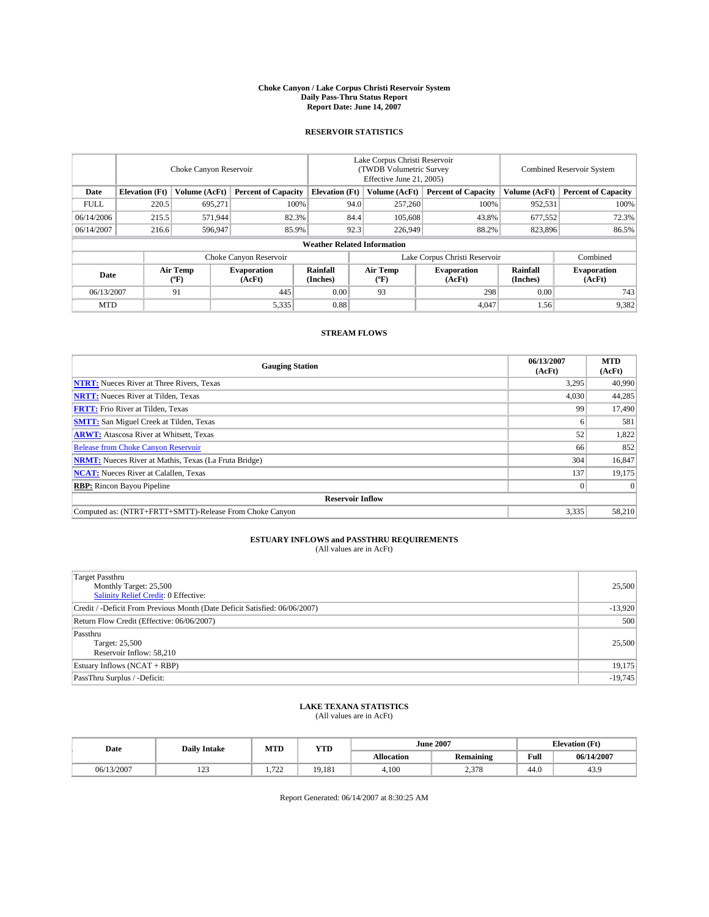#### **Choke Canyon / Lake Corpus Christi Reservoir System Daily Pass-Thru Status Report Report Date: June 14, 2007**

### **RESERVOIR STATISTICS**

|             | Choke Canyon Reservoir             |                  |                              |                       | Lake Corpus Christi Reservoir<br>(TWDB Volumetric Survey<br>Effective June 21, 2005) |                  |                               |                      | Combined Reservoir System    |  |  |
|-------------|------------------------------------|------------------|------------------------------|-----------------------|--------------------------------------------------------------------------------------|------------------|-------------------------------|----------------------|------------------------------|--|--|
| Date        | <b>Elevation</b> (Ft)              | Volume (AcFt)    | <b>Percent of Capacity</b>   | <b>Elevation</b> (Ft) |                                                                                      | Volume (AcFt)    | <b>Percent of Capacity</b>    | Volume (AcFt)        | <b>Percent of Capacity</b>   |  |  |
| <b>FULL</b> | 220.5                              | 695,271          |                              | 100%                  | 94.0                                                                                 | 257,260          | 100%                          | 952,531              | 100%                         |  |  |
| 06/14/2006  | 215.5                              | 571,944          | 82.3%                        |                       | 84.4                                                                                 | 105,608          | 43.8%                         | 677,552              | 72.3%                        |  |  |
| 06/14/2007  | 216.6                              | 596,947          | 85.9%                        |                       | 92.3                                                                                 | 226,949          | 88.2%                         | 823,896              | 86.5%                        |  |  |
|             | <b>Weather Related Information</b> |                  |                              |                       |                                                                                      |                  |                               |                      |                              |  |  |
|             |                                    |                  | Choke Canyon Reservoir       |                       |                                                                                      |                  | Lake Corpus Christi Reservoir |                      | Combined                     |  |  |
| Date        |                                    | Air Temp<br>(°F) | <b>Evaporation</b><br>(AcFt) | Rainfall<br>(Inches)  |                                                                                      | Air Temp<br>("F) | <b>Evaporation</b><br>(AcFt)  | Rainfall<br>(Inches) | <b>Evaporation</b><br>(AcFt) |  |  |
| 06/13/2007  |                                    | 91               | 445                          | 0.00                  |                                                                                      | 93               | 298                           | 0.00                 | 743                          |  |  |
| <b>MTD</b>  |                                    |                  | 5,335                        | 0.88                  |                                                                                      |                  | 4,047                         | 1.56                 | 9,382                        |  |  |

### **STREAM FLOWS**

| <b>Gauging Station</b>                                       | 06/13/2007<br>(AcFt) | <b>MTD</b><br>(AcFt) |
|--------------------------------------------------------------|----------------------|----------------------|
| <b>NTRT:</b> Nueces River at Three Rivers, Texas             | 3,295                | 40,990               |
| <b>NRTT:</b> Nueces River at Tilden, Texas                   | 4.030                | 44,285               |
| <b>FRTT:</b> Frio River at Tilden, Texas                     | 99                   | 17,490               |
| <b>SMTT:</b> San Miguel Creek at Tilden, Texas               |                      | 581                  |
| <b>ARWT:</b> Atascosa River at Whitsett, Texas               | 52                   | 1,822                |
| <b>Release from Choke Canyon Reservoir</b>                   | 66                   | 852                  |
| <b>NRMT:</b> Nueces River at Mathis, Texas (La Fruta Bridge) | 304                  | 16,847               |
| <b>NCAT:</b> Nueces River at Calallen, Texas                 | 137                  | 19.175               |
| <b>RBP:</b> Rincon Bayou Pipeline                            |                      | $\Omega$             |
| <b>Reservoir Inflow</b>                                      |                      |                      |
| Computed as: (NTRT+FRTT+SMTT)-Release From Choke Canyon      | 3,335                | 58,210               |

# **ESTUARY INFLOWS and PASSTHRU REQUIREMENTS**<br>(All values are in AcFt)

| <b>Target Passthru</b><br>Monthly Target: 25,500<br>Salinity Relief Credit: 0 Effective: | 25,500    |
|------------------------------------------------------------------------------------------|-----------|
| Credit / -Deficit From Previous Month (Date Deficit Satisfied: 06/06/2007)               | $-13,920$ |
| Return Flow Credit (Effective: 06/06/2007)                                               | 500       |
| Passthru<br>Target: 25,500<br>Reservoir Inflow: 58,210                                   | 25,500    |
| Estuary Inflows (NCAT + RBP)                                                             | 19,175    |
| PassThru Surplus / -Deficit:                                                             | $-19,745$ |

## **LAKE TEXANA STATISTICS** (All values are in AcFt)

| Date       | <b>Daily Intake</b> | MTD      | <b>YTD</b> |                   | <b>June 2007</b> | <b>Elevation</b> (Ft) |            |
|------------|---------------------|----------|------------|-------------------|------------------|-----------------------|------------|
|            |                     |          |            | <b>Allocation</b> | <b>Remaining</b> | Full                  | 06/14/2007 |
| 06/13/2007 | 122<br>ل کے 1       | 722<br>. | 19.181     | 4.100             | 270<br>2,010     | 44.0                  | 43.9       |

Report Generated: 06/14/2007 at 8:30:25 AM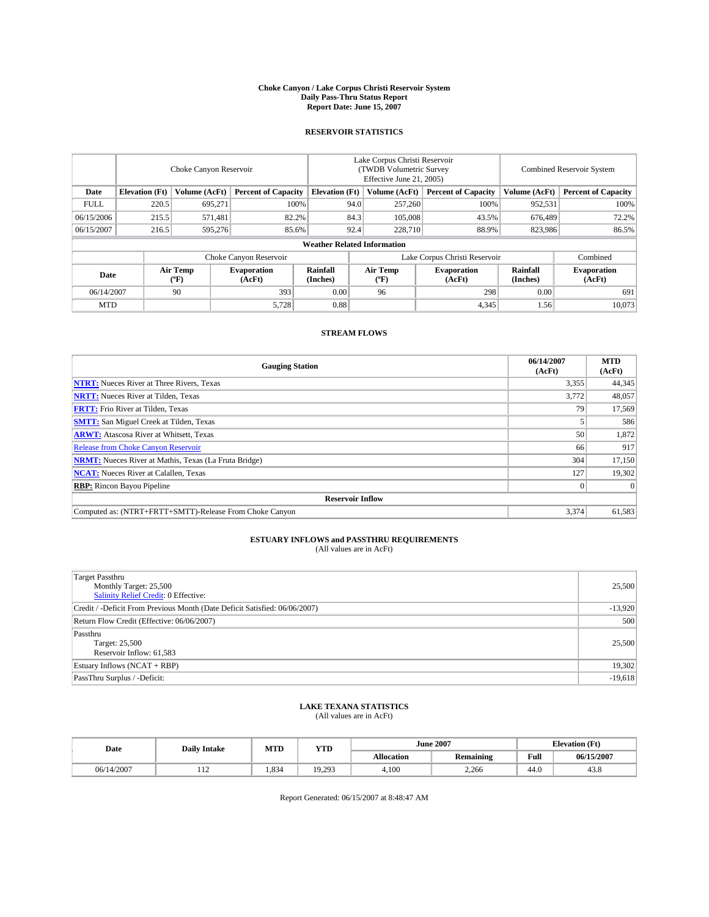#### **Choke Canyon / Lake Corpus Christi Reservoir System Daily Pass-Thru Status Report Report Date: June 15, 2007**

### **RESERVOIR STATISTICS**

|             | Choke Canyon Reservoir             |                  |                              |                       | Lake Corpus Christi Reservoir<br>(TWDB Volumetric Survey<br>Effective June 21, 2005) |                  |                               |                      | Combined Reservoir System    |  |  |
|-------------|------------------------------------|------------------|------------------------------|-----------------------|--------------------------------------------------------------------------------------|------------------|-------------------------------|----------------------|------------------------------|--|--|
| Date        | <b>Elevation</b> (Ft)              | Volume (AcFt)    | <b>Percent of Capacity</b>   | <b>Elevation</b> (Ft) |                                                                                      | Volume (AcFt)    | <b>Percent of Capacity</b>    | Volume (AcFt)        | <b>Percent of Capacity</b>   |  |  |
| <b>FULL</b> | 220.5                              | 695,271          | 100%                         |                       | 94.0                                                                                 | 257,260          | 100%                          | 952,531              | 100%                         |  |  |
| 06/15/2006  | 215.5                              | 571,481          | 82.2%                        |                       | 84.3                                                                                 | 105,008          | 43.5%                         | 676.489              | 72.2%                        |  |  |
| 06/15/2007  | 216.5                              | 595,276          | 85.6%                        |                       | 92.4                                                                                 | 228,710          | 88.9%                         | 823,986              | 86.5%                        |  |  |
|             | <b>Weather Related Information</b> |                  |                              |                       |                                                                                      |                  |                               |                      |                              |  |  |
|             |                                    |                  | Choke Canyon Reservoir       |                       |                                                                                      |                  | Lake Corpus Christi Reservoir |                      | Combined                     |  |  |
| Date        |                                    | Air Temp<br>(°F) | <b>Evaporation</b><br>(AcFt) | Rainfall<br>(Inches)  |                                                                                      | Air Temp<br>("F) | <b>Evaporation</b><br>(AcFt)  | Rainfall<br>(Inches) | <b>Evaporation</b><br>(AcFt) |  |  |
| 06/14/2007  |                                    | 90               | 393                          | 0.00                  |                                                                                      | 96               | 298                           | 0.00                 | 691                          |  |  |
| <b>MTD</b>  |                                    |                  | 5,728                        | 0.88                  |                                                                                      |                  | 4,345                         | 1.56                 | 10,073                       |  |  |

### **STREAM FLOWS**

| <b>Gauging Station</b>                                       | 06/14/2007<br>(AcFt) | <b>MTD</b><br>(AcFt) |
|--------------------------------------------------------------|----------------------|----------------------|
| <b>NTRT:</b> Nueces River at Three Rivers, Texas             | 3,355                | 44,345               |
| <b>NRTT:</b> Nueces River at Tilden, Texas                   | 3.772                | 48,057               |
| <b>FRTT:</b> Frio River at Tilden, Texas                     | 79                   | 17,569               |
| <b>SMTT:</b> San Miguel Creek at Tilden, Texas               |                      | 586                  |
| <b>ARWT:</b> Atascosa River at Whitsett, Texas               | 50                   | 1,872                |
| <b>Release from Choke Canyon Reservoir</b>                   | 66                   | 917                  |
| <b>NRMT:</b> Nueces River at Mathis, Texas (La Fruta Bridge) | 304                  | 17,150               |
| <b>NCAT:</b> Nueces River at Calallen, Texas                 | 127                  | 19,302               |
| <b>RBP:</b> Rincon Bayou Pipeline                            |                      | $\Omega$             |
| <b>Reservoir Inflow</b>                                      |                      |                      |
| Computed as: (NTRT+FRTT+SMTT)-Release From Choke Canyon      | 3,374                | 61,583               |

# **ESTUARY INFLOWS and PASSTHRU REQUIREMENTS**<br>(All values are in AcFt)

| <b>Target Passthru</b><br>Monthly Target: 25,500<br>Salinity Relief Credit: 0 Effective: | 25,500    |
|------------------------------------------------------------------------------------------|-----------|
| Credit / -Deficit From Previous Month (Date Deficit Satisfied: 06/06/2007)               | $-13,920$ |
| Return Flow Credit (Effective: 06/06/2007)                                               | 500       |
| Passthru<br>Target: 25,500<br>Reservoir Inflow: 61,583                                   | 25,500    |
| Estuary Inflows (NCAT + RBP)                                                             | 19,302    |
| PassThru Surplus / -Deficit:                                                             | $-19,618$ |

## **LAKE TEXANA STATISTICS** (All values are in AcFt)

| Date       | <b>Daily Intake</b> | MTD   | YTD    |                   | <b>June 2007</b> | <b>Elevation</b> (Ft) |            |
|------------|---------------------|-------|--------|-------------------|------------------|-----------------------|------------|
|            |                     |       |        | <b>Allocation</b> | <b>Remaining</b> | Full                  | 06/15/2007 |
| 06/14/2007 | 114                 | 1.834 | 19.293 | 4.100             | 2.266            | 44.0                  | 3.0+       |

Report Generated: 06/15/2007 at 8:48:47 AM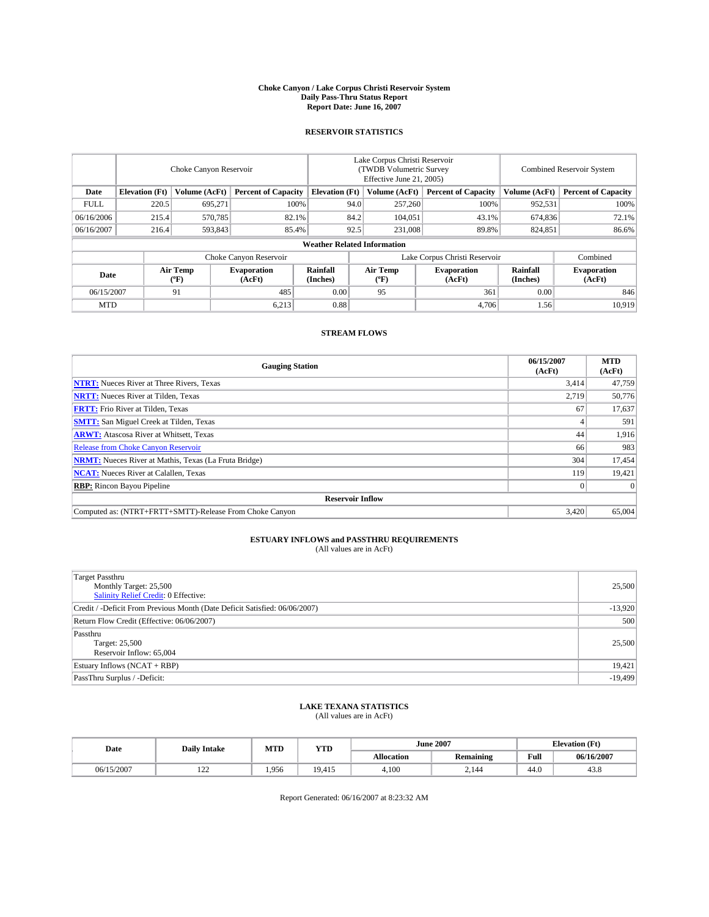#### **Choke Canyon / Lake Corpus Christi Reservoir System Daily Pass-Thru Status Report Report Date: June 16, 2007**

### **RESERVOIR STATISTICS**

|             | Choke Canyon Reservoir |                  |                              |                                    | Lake Corpus Christi Reservoir<br>(TWDB Volumetric Survey<br>Effective June 21, 2005) |                  |                               |                      | Combined Reservoir System    |  |  |
|-------------|------------------------|------------------|------------------------------|------------------------------------|--------------------------------------------------------------------------------------|------------------|-------------------------------|----------------------|------------------------------|--|--|
| Date        | <b>Elevation</b> (Ft)  | Volume (AcFt)    | <b>Percent of Capacity</b>   | <b>Elevation</b> (Ft)              |                                                                                      | Volume (AcFt)    | <b>Percent of Capacity</b>    | Volume (AcFt)        | <b>Percent of Capacity</b>   |  |  |
| <b>FULL</b> | 220.5                  | 695,271          | 100%                         |                                    | 94.0                                                                                 | 257,260          | 100%                          | 952,531              | 100%                         |  |  |
| 06/16/2006  | 215.4                  | 570,785          | 82.1%                        |                                    | 84.2                                                                                 | 104,051          | 43.1%                         | 674,836              | 72.1%                        |  |  |
| 06/16/2007  | 216.4                  | 593,843          | 85.4%                        |                                    | 92.5                                                                                 | 231,008          | 89.8%                         | 824,851              | 86.6%                        |  |  |
|             |                        |                  |                              | <b>Weather Related Information</b> |                                                                                      |                  |                               |                      |                              |  |  |
|             |                        |                  | Choke Canyon Reservoir       |                                    |                                                                                      |                  | Lake Corpus Christi Reservoir |                      | Combined                     |  |  |
| Date        |                        | Air Temp<br>(°F) | <b>Evaporation</b><br>(AcFt) | Rainfall<br>(Inches)               |                                                                                      | Air Temp<br>("F) | <b>Evaporation</b><br>(AcFt)  | Rainfall<br>(Inches) | <b>Evaporation</b><br>(AcFt) |  |  |
| 06/15/2007  |                        | 91               | 485                          | 0.00                               |                                                                                      | 95               | 361                           | 0.00                 | 846                          |  |  |
| <b>MTD</b>  |                        |                  | 6,213                        | 0.88                               |                                                                                      |                  | 4,706                         | 1.56                 | 10,919                       |  |  |

### **STREAM FLOWS**

| <b>Gauging Station</b>                                       | 06/15/2007<br>(AcFt) | <b>MTD</b><br>(AcFt) |
|--------------------------------------------------------------|----------------------|----------------------|
| <b>NTRT:</b> Nueces River at Three Rivers, Texas             | 3,414                | 47,759               |
| <b>NRTT:</b> Nueces River at Tilden, Texas                   | 2,719                | 50,776               |
| <b>FRTT:</b> Frio River at Tilden, Texas                     | 67                   | 17,637               |
| <b>SMTT:</b> San Miguel Creek at Tilden, Texas               |                      | 591                  |
| <b>ARWT:</b> Atascosa River at Whitsett, Texas               | 44                   | 1,916                |
| <b>Release from Choke Canyon Reservoir</b>                   | 66                   | 983                  |
| <b>NRMT:</b> Nueces River at Mathis, Texas (La Fruta Bridge) | 304                  | 17,454               |
| <b>NCAT:</b> Nueces River at Calallen, Texas                 | 119                  | 19,421               |
| <b>RBP:</b> Rincon Bayou Pipeline                            |                      | $\Omega$             |
| <b>Reservoir Inflow</b>                                      |                      |                      |
| Computed as: (NTRT+FRTT+SMTT)-Release From Choke Canyon      | 3.420                | 65,004               |

# **ESTUARY INFLOWS and PASSTHRU REQUIREMENTS**<br>(All values are in AcFt)

| <b>Target Passthru</b><br>Monthly Target: 25,500<br>Salinity Relief Credit: 0 Effective: | 25,500    |
|------------------------------------------------------------------------------------------|-----------|
| Credit / -Deficit From Previous Month (Date Deficit Satisfied: 06/06/2007)               | $-13,920$ |
| Return Flow Credit (Effective: 06/06/2007)                                               | 500       |
| Passthru<br>Target: 25,500<br>Reservoir Inflow: 65,004                                   | 25,500    |
| Estuary Inflows (NCAT + RBP)                                                             | 19,421    |
| PassThru Surplus / -Deficit:                                                             | $-19,499$ |

## **LAKE TEXANA STATISTICS** (All values are in AcFt)

| Date       | <b>Daily Intake</b> | MTD   | <b>YTD</b> |                   | <b>June 2007</b> | <b>Elevation</b> (Ft) |            |
|------------|---------------------|-------|------------|-------------------|------------------|-----------------------|------------|
|            |                     |       |            | <b>Allocation</b> | <b>Remaining</b> | Full                  | 06/16/2007 |
| 06/15/2007 | $\sim$<br>--        | 1.956 | 19.415     | 4.100             | 2.144            | 44.0                  | 43.8       |

Report Generated: 06/16/2007 at 8:23:32 AM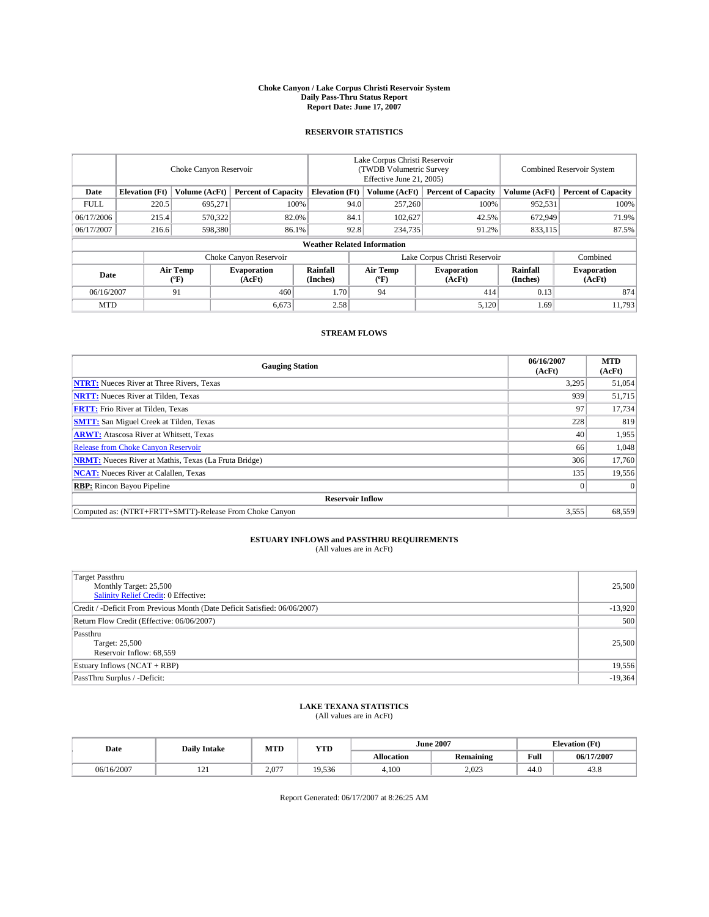#### **Choke Canyon / Lake Corpus Christi Reservoir System Daily Pass-Thru Status Report Report Date: June 17, 2007**

### **RESERVOIR STATISTICS**

|             | Choke Canyon Reservoir |                  |                              |                                    | Lake Corpus Christi Reservoir<br>(TWDB Volumetric Survey<br>Effective June 21, 2005) |                  |                               |                      | Combined Reservoir System    |  |  |
|-------------|------------------------|------------------|------------------------------|------------------------------------|--------------------------------------------------------------------------------------|------------------|-------------------------------|----------------------|------------------------------|--|--|
| Date        | <b>Elevation</b> (Ft)  | Volume (AcFt)    | <b>Percent of Capacity</b>   | <b>Elevation</b> (Ft)              |                                                                                      | Volume (AcFt)    | <b>Percent of Capacity</b>    | Volume (AcFt)        | <b>Percent of Capacity</b>   |  |  |
| <b>FULL</b> | 220.5                  | 695,271          | 100%                         |                                    | 94.0                                                                                 | 257,260          | 100%                          | 952,531              | 100%                         |  |  |
| 06/17/2006  | 215.4                  | 570,322          | 82.0%                        |                                    | 84.1                                                                                 | 102,627          | 42.5%                         | 672,949              | 71.9%                        |  |  |
| 06/17/2007  | 216.6                  | 598,380          | 86.1%                        |                                    | 92.8                                                                                 | 234,735          | 91.2%                         | 833,115              | 87.5%                        |  |  |
|             |                        |                  |                              | <b>Weather Related Information</b> |                                                                                      |                  |                               |                      |                              |  |  |
|             |                        |                  | Choke Canyon Reservoir       |                                    |                                                                                      |                  | Lake Corpus Christi Reservoir |                      | Combined                     |  |  |
| Date        |                        | Air Temp<br>(°F) | <b>Evaporation</b><br>(AcFt) | Rainfall<br>(Inches)               |                                                                                      | Air Temp<br>("F) | <b>Evaporation</b><br>(AcFt)  | Rainfall<br>(Inches) | <b>Evaporation</b><br>(AcFt) |  |  |
| 06/16/2007  |                        | 91               | 460                          | 1.70                               |                                                                                      | 94               | 414                           | 0.13                 | 874                          |  |  |
| <b>MTD</b>  |                        |                  | 6,673                        | 2.58                               |                                                                                      |                  | 5,120                         | 1.69                 | 11,793                       |  |  |

### **STREAM FLOWS**

| <b>Gauging Station</b>                                       | 06/16/2007<br>(AcFt) | <b>MTD</b><br>(AcFt) |
|--------------------------------------------------------------|----------------------|----------------------|
| <b>NTRT:</b> Nueces River at Three Rivers, Texas             | 3,295                | 51,054               |
| <b>NRTT:</b> Nueces River at Tilden, Texas                   | 939                  | 51,715               |
| <b>FRTT:</b> Frio River at Tilden, Texas                     | 97                   | 17,734               |
| <b>SMTT:</b> San Miguel Creek at Tilden, Texas               | 228                  | 819                  |
| <b>ARWT:</b> Atascosa River at Whitsett, Texas               | 40                   | 1,955                |
| <b>Release from Choke Canyon Reservoir</b>                   | 66                   | 1,048                |
| <b>NRMT:</b> Nueces River at Mathis, Texas (La Fruta Bridge) | 306                  | 17,760               |
| <b>NCAT:</b> Nueces River at Calallen, Texas                 | 135                  | 19,556               |
| <b>RBP:</b> Rincon Bayou Pipeline                            |                      | $\Omega$             |
| <b>Reservoir Inflow</b>                                      |                      |                      |
| Computed as: (NTRT+FRTT+SMTT)-Release From Choke Canyon      | 3,555                | 68,559               |

# **ESTUARY INFLOWS and PASSTHRU REQUIREMENTS**<br>(All values are in AcFt)

| <b>Target Passthru</b><br>Monthly Target: 25,500<br>Salinity Relief Credit: 0 Effective: | 25,500    |
|------------------------------------------------------------------------------------------|-----------|
| Credit / -Deficit From Previous Month (Date Deficit Satisfied: 06/06/2007)               | $-13,920$ |
| Return Flow Credit (Effective: 06/06/2007)                                               | 500       |
| Passthru<br>Target: 25,500<br>Reservoir Inflow: 68,559                                   | 25,500    |
| Estuary Inflows (NCAT + RBP)                                                             | 19,556    |
| PassThru Surplus / -Deficit:                                                             | $-19,364$ |

## **LAKE TEXANA STATISTICS** (All values are in AcFt)

| Date       | <b>Daily Intake</b> | MTD   | <b>YTD</b> |                   | <b>June 2007</b> | <b>Elevation</b> (Ft) |            |
|------------|---------------------|-------|------------|-------------------|------------------|-----------------------|------------|
|            |                     |       |            | <b>Allocation</b> | <b>Remaining</b> | Full                  | 06/17/2007 |
| 06/16/2007 | $\sim$<br>1/4       | 2,077 | 19.536     | 4.100             | 2,023            | 44.0                  | 43.8       |

Report Generated: 06/17/2007 at 8:26:25 AM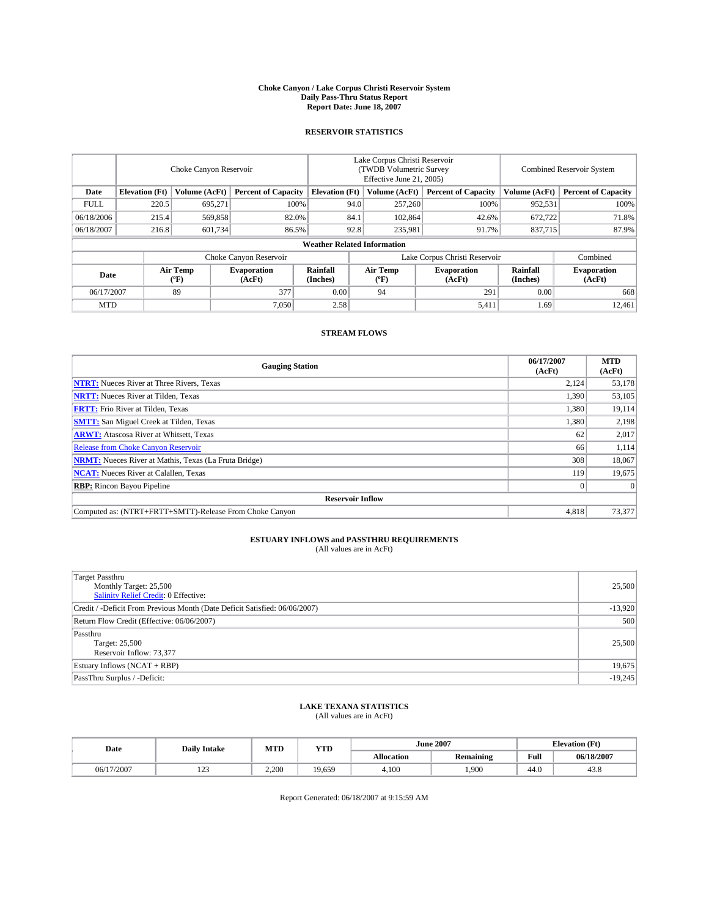#### **Choke Canyon / Lake Corpus Christi Reservoir System Daily Pass-Thru Status Report Report Date: June 18, 2007**

### **RESERVOIR STATISTICS**

|             | Choke Canyon Reservoir |                         |                              |                                    | Lake Corpus Christi Reservoir<br>(TWDB Volumetric Survey<br>Effective June 21, 2005) |                  |                               | Combined Reservoir System |                              |  |
|-------------|------------------------|-------------------------|------------------------------|------------------------------------|--------------------------------------------------------------------------------------|------------------|-------------------------------|---------------------------|------------------------------|--|
| Date        | <b>Elevation</b> (Ft)  | Volume (AcFt)           | <b>Percent of Capacity</b>   | <b>Elevation</b> (Ft)              |                                                                                      | Volume (AcFt)    | <b>Percent of Capacity</b>    | Volume (AcFt)             | <b>Percent of Capacity</b>   |  |
| <b>FULL</b> | 220.5                  | 695.271                 |                              | 100%                               | 94.0                                                                                 | 257,260          | 100%                          | 952,531                   | 100%                         |  |
| 06/18/2006  | 215.4                  | 569,858                 | 82.0%                        |                                    | 84.1                                                                                 | 102,864          | 42.6%                         | 672,722                   | 71.8%                        |  |
| 06/18/2007  | 216.8                  | 601,734                 | 86.5%                        |                                    | 92.8                                                                                 | 235,981          | 91.7%                         | 837,715                   | 87.9%                        |  |
|             |                        |                         |                              | <b>Weather Related Information</b> |                                                                                      |                  |                               |                           |                              |  |
|             |                        |                         | Choke Canyon Reservoir       |                                    |                                                                                      |                  | Lake Corpus Christi Reservoir |                           | Combined                     |  |
| Date        |                        | <b>Air Temp</b><br>(°F) | <b>Evaporation</b><br>(AcFt) | Rainfall<br>(Inches)               |                                                                                      | Air Temp<br>("F) | <b>Evaporation</b><br>(AcFt)  | Rainfall<br>(Inches)      | <b>Evaporation</b><br>(AcFt) |  |
| 06/17/2007  |                        | 89                      | 377                          | 0.00                               |                                                                                      | 94               | 291                           | 0.00                      | 668                          |  |
| <b>MTD</b>  |                        |                         | 7,050                        | 2.58                               |                                                                                      |                  | 5,411                         | 1.69                      | 12,461                       |  |

### **STREAM FLOWS**

| <b>Gauging Station</b>                                       | 06/17/2007<br>(AcFt) | <b>MTD</b><br>(AcFt) |
|--------------------------------------------------------------|----------------------|----------------------|
| <b>NTRT:</b> Nueces River at Three Rivers, Texas             | 2,124                | 53,178               |
| <b>NRTT:</b> Nueces River at Tilden, Texas                   | 1,390                | 53,105               |
| <b>FRTT:</b> Frio River at Tilden, Texas                     | 1,380                | 19,114               |
| <b>SMTT:</b> San Miguel Creek at Tilden, Texas               | 1,380                | 2,198                |
| <b>ARWT:</b> Atascosa River at Whitsett, Texas               | 62                   | 2,017                |
| <b>Release from Choke Canyon Reservoir</b>                   | 66                   | 1,114                |
| <b>NRMT:</b> Nueces River at Mathis, Texas (La Fruta Bridge) | 308                  | 18,067               |
| <b>NCAT:</b> Nueces River at Calallen, Texas                 | 119                  | 19,675               |
| <b>RBP:</b> Rincon Bayou Pipeline                            |                      | $\Omega$             |
| <b>Reservoir Inflow</b>                                      |                      |                      |
| Computed as: (NTRT+FRTT+SMTT)-Release From Choke Canyon      | 4,818                | 73,377               |

# **ESTUARY INFLOWS and PASSTHRU REQUIREMENTS**<br>(All values are in AcFt)

| <b>Target Passthru</b><br>Monthly Target: 25,500<br>Salinity Relief Credit: 0 Effective: | 25,500    |
|------------------------------------------------------------------------------------------|-----------|
| Credit / -Deficit From Previous Month (Date Deficit Satisfied: 06/06/2007)               | $-13,920$ |
| Return Flow Credit (Effective: 06/06/2007)                                               | 500       |
| Passthru<br>Target: 25,500<br>Reservoir Inflow: 73,377                                   | 25,500    |
| Estuary Inflows (NCAT + RBP)                                                             | 19,675    |
| PassThru Surplus / -Deficit:                                                             | $-19,245$ |

## **LAKE TEXANA STATISTICS** (All values are in AcFt)

| Date       | <b>Daily Intake</b>       | MTD   | <b>YTD</b> |                   | <b>June 2007</b> | <b>Elevation</b> (Ft) |            |
|------------|---------------------------|-------|------------|-------------------|------------------|-----------------------|------------|
|            |                           |       |            | <b>Allocation</b> | <b>Remaining</b> | Full                  | 06/18/2007 |
| 06/17/2007 | 10 <sup>o</sup><br>ب سے ج | 2.200 | 19.659     | 4.100             | .900             | 44.0                  | 43.8       |

Report Generated: 06/18/2007 at 9:15:59 AM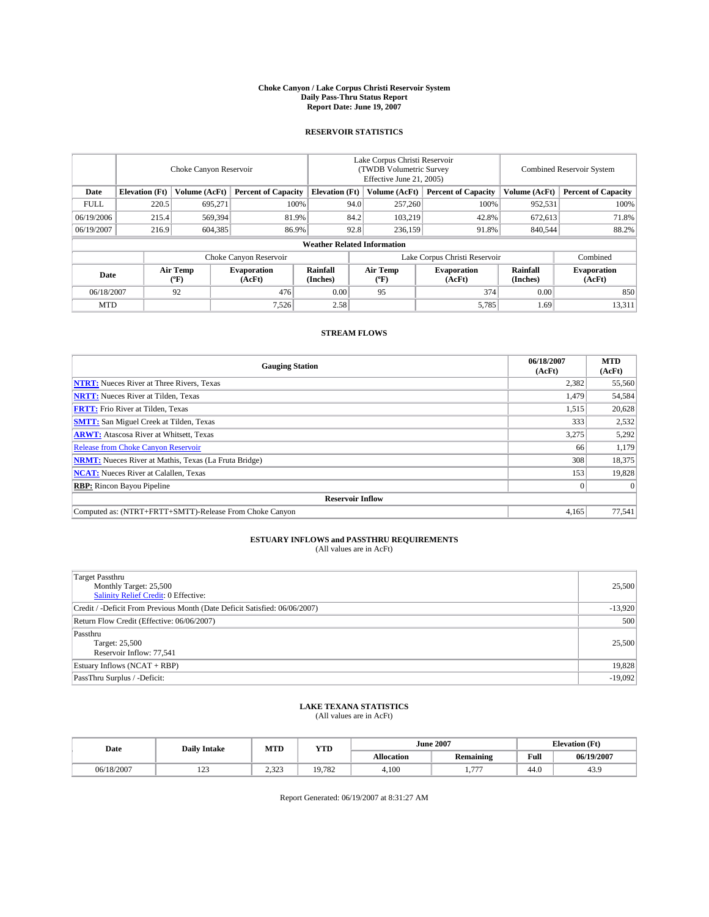#### **Choke Canyon / Lake Corpus Christi Reservoir System Daily Pass-Thru Status Report Report Date: June 19, 2007**

### **RESERVOIR STATISTICS**

|             | Choke Canyon Reservoir             |                  |                              |                       | Lake Corpus Christi Reservoir<br>(TWDB Volumetric Survey<br>Effective June 21, 2005) |                  |                               |                      | Combined Reservoir System    |  |  |
|-------------|------------------------------------|------------------|------------------------------|-----------------------|--------------------------------------------------------------------------------------|------------------|-------------------------------|----------------------|------------------------------|--|--|
| Date        | <b>Elevation</b> (Ft)              | Volume (AcFt)    | <b>Percent of Capacity</b>   | <b>Elevation</b> (Ft) |                                                                                      | Volume (AcFt)    | <b>Percent of Capacity</b>    | Volume (AcFt)        | <b>Percent of Capacity</b>   |  |  |
| <b>FULL</b> | 220.5                              | 695,271          | 100%                         |                       | 94.0                                                                                 | 257,260          | 100%                          | 952,531              | 100%                         |  |  |
| 06/19/2006  | 215.4                              | 569,394          | 81.9%                        |                       | 84.2                                                                                 | 103,219          | 42.8%                         | 672.613              | 71.8%                        |  |  |
| 06/19/2007  | 216.9                              | 604,385          | 86.9%                        |                       | 92.8                                                                                 | 236,159          | 91.8%                         | 840,544              | 88.2%                        |  |  |
|             | <b>Weather Related Information</b> |                  |                              |                       |                                                                                      |                  |                               |                      |                              |  |  |
|             |                                    |                  | Choke Canyon Reservoir       |                       |                                                                                      |                  | Lake Corpus Christi Reservoir |                      | Combined                     |  |  |
| Date        |                                    | Air Temp<br>(°F) | <b>Evaporation</b><br>(AcFt) | Rainfall<br>(Inches)  |                                                                                      | Air Temp<br>("F) | <b>Evaporation</b><br>(AcFt)  | Rainfall<br>(Inches) | <b>Evaporation</b><br>(AcFt) |  |  |
| 06/18/2007  |                                    | 92               | 476                          | 0.00                  |                                                                                      | 95               | 374                           | 0.00                 | 850                          |  |  |
| <b>MTD</b>  |                                    |                  | 7,526                        | 2.58                  |                                                                                      |                  | 5,785                         | 1.69                 | 13,311                       |  |  |

### **STREAM FLOWS**

| <b>Gauging Station</b>                                       | 06/18/2007<br>(AcFt) | <b>MTD</b><br>(AcFt) |
|--------------------------------------------------------------|----------------------|----------------------|
| <b>NTRT:</b> Nueces River at Three Rivers, Texas             | 2,382                | 55,560               |
| <b>NRTT:</b> Nueces River at Tilden, Texas                   | 1,479                | 54,584               |
| <b>FRTT:</b> Frio River at Tilden, Texas                     | 1,515                | 20,628               |
| <b>SMTT:</b> San Miguel Creek at Tilden, Texas               | 333                  | 2,532                |
| <b>ARWT:</b> Atascosa River at Whitsett, Texas               | 3,275                | 5,292                |
| <b>Release from Choke Canyon Reservoir</b>                   | 66                   | 1,179                |
| <b>NRMT:</b> Nueces River at Mathis, Texas (La Fruta Bridge) | 308                  | 18,375               |
| <b>NCAT:</b> Nueces River at Calallen, Texas                 | 153                  | 19,828               |
| <b>RBP:</b> Rincon Bayou Pipeline                            |                      | $\Omega$             |
| <b>Reservoir Inflow</b>                                      |                      |                      |
| Computed as: (NTRT+FRTT+SMTT)-Release From Choke Canyon      | 4,165                | 77,541               |

# **ESTUARY INFLOWS and PASSTHRU REQUIREMENTS**<br>(All values are in AcFt)

| <b>Target Passthru</b><br>Monthly Target: 25,500<br>Salinity Relief Credit: 0 Effective: | 25,500    |
|------------------------------------------------------------------------------------------|-----------|
| Credit / -Deficit From Previous Month (Date Deficit Satisfied: 06/06/2007)               | $-13,920$ |
| Return Flow Credit (Effective: 06/06/2007)                                               | 500       |
| Passthru<br>Target: 25,500<br>Reservoir Inflow: 77,541                                   | 25,500    |
| Estuary Inflows (NCAT + RBP)                                                             | 19,828    |
| PassThru Surplus / -Deficit:                                                             | $-19,092$ |

## **LAKE TEXANA STATISTICS** (All values are in AcFt)

| Date       | <b>Daily Intake</b> | MTD               | <b>YTD</b> |                   | <b>June 2007</b> | <b>Elevation</b> (Ft) |            |
|------------|---------------------|-------------------|------------|-------------------|------------------|-----------------------|------------|
|            |                     |                   |            | <b>Allocation</b> | <b>Remaining</b> | Full                  | 06/19/2007 |
| 06/18/2007 | 122<br>ل کے 1       | 323<br>ل کے لیے ک | 19.782     | 4.100             | $- - -$<br>      | 44.0                  | 43.9       |

Report Generated: 06/19/2007 at 8:31:27 AM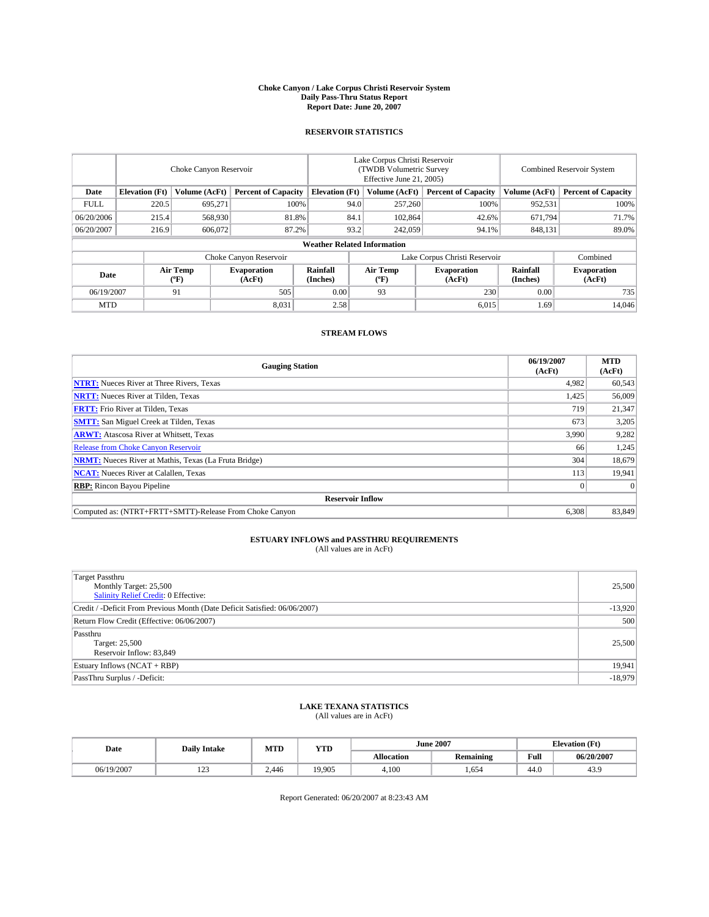#### **Choke Canyon / Lake Corpus Christi Reservoir System Daily Pass-Thru Status Report Report Date: June 20, 2007**

### **RESERVOIR STATISTICS**

|             | Choke Canyon Reservoir             |                  |                              |                       | Lake Corpus Christi Reservoir<br>(TWDB Volumetric Survey<br>Effective June 21, 2005) |                  |                               |                      | Combined Reservoir System    |  |  |
|-------------|------------------------------------|------------------|------------------------------|-----------------------|--------------------------------------------------------------------------------------|------------------|-------------------------------|----------------------|------------------------------|--|--|
| Date        | <b>Elevation</b> (Ft)              | Volume (AcFt)    | <b>Percent of Capacity</b>   | <b>Elevation</b> (Ft) |                                                                                      | Volume (AcFt)    | <b>Percent of Capacity</b>    | Volume (AcFt)        | <b>Percent of Capacity</b>   |  |  |
| <b>FULL</b> | 220.5                              | 695,271          | 100%                         |                       | 94.0                                                                                 | 257,260          | 100%                          | 952,531              | 100%                         |  |  |
| 06/20/2006  | 215.4                              | 568,930          | 81.8%                        |                       | 84.1                                                                                 | 102,864          | 42.6%                         | 671,794              | 71.7%                        |  |  |
| 06/20/2007  | 216.9                              | 606,072          | 87.2%                        |                       | 93.2                                                                                 | 242,059          | 94.1%                         | 848,131              | 89.0%                        |  |  |
|             | <b>Weather Related Information</b> |                  |                              |                       |                                                                                      |                  |                               |                      |                              |  |  |
|             |                                    |                  | Choke Canyon Reservoir       |                       |                                                                                      |                  | Lake Corpus Christi Reservoir |                      | Combined                     |  |  |
| Date        |                                    | Air Temp<br>(°F) | <b>Evaporation</b><br>(AcFt) | Rainfall<br>(Inches)  |                                                                                      | Air Temp<br>("F) | <b>Evaporation</b><br>(AcFt)  | Rainfall<br>(Inches) | <b>Evaporation</b><br>(AcFt) |  |  |
| 06/19/2007  |                                    | 91               | 505                          | 0.00                  |                                                                                      | 93               | 230                           | 0.00                 | 735                          |  |  |
| <b>MTD</b>  |                                    |                  | 8,031                        | 2.58                  |                                                                                      |                  | 6,015                         | 1.69                 | 14,046                       |  |  |

### **STREAM FLOWS**

| <b>Gauging Station</b>                                       | 06/19/2007<br>(AcFt) | <b>MTD</b><br>(AcFt) |
|--------------------------------------------------------------|----------------------|----------------------|
| <b>NTRT:</b> Nueces River at Three Rivers, Texas             | 4,982                | 60,543               |
| <b>NRTT:</b> Nueces River at Tilden, Texas                   | 1,425                | 56,009               |
| <b>FRTT:</b> Frio River at Tilden, Texas                     | 719                  | 21,347               |
| <b>SMTT:</b> San Miguel Creek at Tilden, Texas               | 673                  | 3,205                |
| <b>ARWT:</b> Atascosa River at Whitsett, Texas               | 3,990                | 9,282                |
| <b>Release from Choke Canyon Reservoir</b>                   | 66                   | 1,245                |
| <b>NRMT:</b> Nueces River at Mathis, Texas (La Fruta Bridge) | 304                  | 18,679               |
| <b>NCAT:</b> Nueces River at Calallen, Texas                 | 113                  | 19,941               |
| <b>RBP:</b> Rincon Bayou Pipeline                            |                      | $\Omega$             |
| <b>Reservoir Inflow</b>                                      |                      |                      |
| Computed as: (NTRT+FRTT+SMTT)-Release From Choke Canyon      | 6,308                | 83,849               |

## **ESTUARY INFLOWS and PASSTHRU REQUIREMENTS**<br>(All values are in AcFt)

| <b>Target Passthru</b><br>Monthly Target: 25,500<br>Salinity Relief Credit: 0 Effective: | 25,500    |
|------------------------------------------------------------------------------------------|-----------|
| Credit / -Deficit From Previous Month (Date Deficit Satisfied: 06/06/2007)               | $-13,920$ |
| Return Flow Credit (Effective: 06/06/2007)                                               | 500       |
| Passthru<br>Target: 25,500<br>Reservoir Inflow: 83,849                                   | 25,500    |
| Estuary Inflows (NCAT + RBP)                                                             | 19,941    |
| PassThru Surplus / -Deficit:                                                             | $-18,979$ |

## **LAKE TEXANA STATISTICS** (All values are in AcFt)

| Date       | <b>Daily Intake</b>       | MTD   | <b>YTD</b> |                   | <b>June 2007</b> | <b>Elevation</b> (Ft) |            |
|------------|---------------------------|-------|------------|-------------------|------------------|-----------------------|------------|
|            |                           |       |            | <b>Allocation</b> | <b>Remaining</b> | Full                  | 06/20/2007 |
| 06/19/2007 | 10 <sup>o</sup><br>ب سے ج | 2.446 | 19.905     | 4.100             | .654             | 44.0                  | 43.9       |

Report Generated: 06/20/2007 at 8:23:43 AM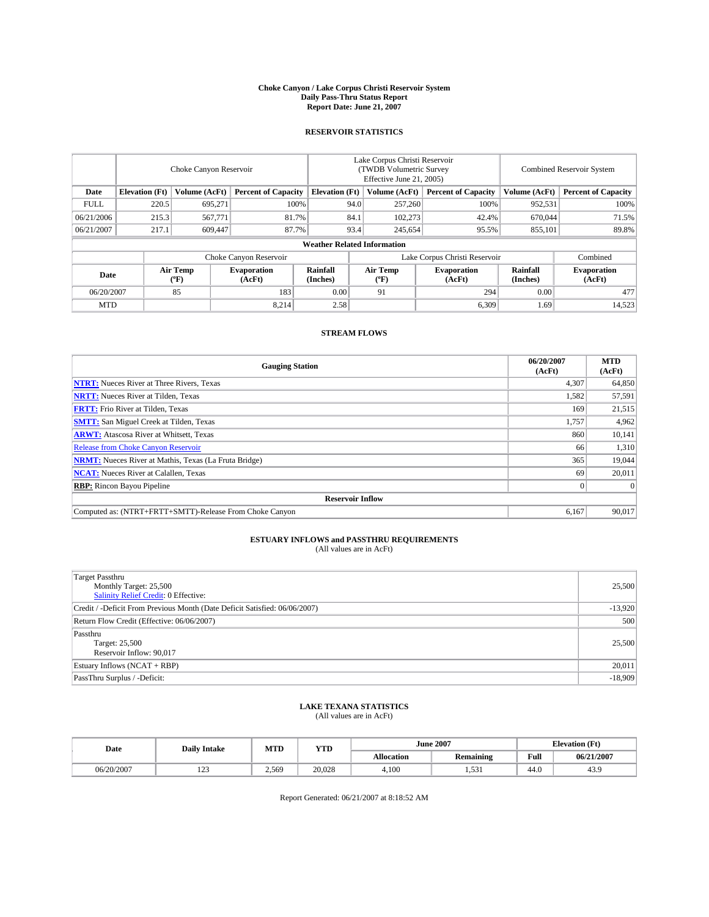#### **Choke Canyon / Lake Corpus Christi Reservoir System Daily Pass-Thru Status Report Report Date: June 21, 2007**

### **RESERVOIR STATISTICS**

|                        | Choke Canyon Reservoir |                  |                              |                                    | Lake Corpus Christi Reservoir<br>(TWDB Volumetric Survey<br>Effective June 21, 2005) |                           |                               |                      | Combined Reservoir System    |  |  |
|------------------------|------------------------|------------------|------------------------------|------------------------------------|--------------------------------------------------------------------------------------|---------------------------|-------------------------------|----------------------|------------------------------|--|--|
| Date                   | <b>Elevation</b> (Ft)  | Volume (AcFt)    | <b>Percent of Capacity</b>   | <b>Elevation</b> (Ft)              |                                                                                      | Volume (AcFt)             | <b>Percent of Capacity</b>    | Volume (AcFt)        | <b>Percent of Capacity</b>   |  |  |
| <b>FULL</b>            | 220.5                  | 695.271          |                              | 100%                               | 94.0                                                                                 | 257,260                   | 100%                          | 952,531              | 100%                         |  |  |
| 06/21/2006             | 215.3                  | 567,771          | 81.7%                        |                                    | 84.1                                                                                 | 102,273                   | 42.4%                         | 670.044              | 71.5%                        |  |  |
| 06/21/2007             | 217.1                  | 609,447          | 87.7%                        |                                    | 93.4                                                                                 | 245,654                   | 95.5%                         | 855,101              | 89.8%                        |  |  |
|                        |                        |                  |                              | <b>Weather Related Information</b> |                                                                                      |                           |                               |                      |                              |  |  |
| Choke Canyon Reservoir |                        |                  |                              |                                    |                                                                                      |                           | Lake Corpus Christi Reservoir |                      | Combined                     |  |  |
| Date                   |                        | Air Temp<br>(°F) | <b>Evaporation</b><br>(AcFt) | Rainfall<br>(Inches)               |                                                                                      | Air Temp<br>$^{\circ}$ F) | <b>Evaporation</b><br>(AcFt)  | Rainfall<br>(Inches) | <b>Evaporation</b><br>(AcFt) |  |  |
| 06/20/2007             |                        | 85               | 183                          | 0.00                               |                                                                                      | 91                        | 294                           | 0.00                 | 477                          |  |  |
| <b>MTD</b>             |                        |                  | 8.214                        | 2.58                               |                                                                                      |                           | 6,309                         | 1.69                 | 14,523                       |  |  |

### **STREAM FLOWS**

| <b>Gauging Station</b>                                       | 06/20/2007<br>(AcFt) | <b>MTD</b><br>(AcFt) |
|--------------------------------------------------------------|----------------------|----------------------|
| <b>NTRT:</b> Nueces River at Three Rivers, Texas             | 4,307                | 64,850               |
| <b>NRTT:</b> Nueces River at Tilden, Texas                   | 1,582                | 57,591               |
| <b>FRTT:</b> Frio River at Tilden, Texas                     | 169                  | 21,515               |
| <b>SMTT:</b> San Miguel Creek at Tilden, Texas               | 1,757                | 4,962                |
| <b>ARWT:</b> Atascosa River at Whitsett, Texas               | 860                  | 10,141               |
| <b>Release from Choke Canyon Reservoir</b>                   | 66                   | 1,310                |
| <b>NRMT:</b> Nueces River at Mathis, Texas (La Fruta Bridge) | 365                  | 19,044               |
| <b>NCAT:</b> Nueces River at Calallen, Texas                 | 69                   | 20,011               |
| <b>RBP:</b> Rincon Bayou Pipeline                            |                      | $\Omega$             |
| <b>Reservoir Inflow</b>                                      |                      |                      |
| Computed as: (NTRT+FRTT+SMTT)-Release From Choke Canyon      | 6,167                | 90.017               |

# **ESTUARY INFLOWS and PASSTHRU REQUIREMENTS**<br>(All values are in AcFt)

| <b>Target Passthru</b><br>Monthly Target: 25,500<br>Salinity Relief Credit: 0 Effective: | 25,500    |
|------------------------------------------------------------------------------------------|-----------|
| Credit / -Deficit From Previous Month (Date Deficit Satisfied: 06/06/2007)               | $-13,920$ |
| Return Flow Credit (Effective: 06/06/2007)                                               | 500       |
| Passthru<br>Target: 25,500<br>Reservoir Inflow: 90,017                                   | 25,500    |
| Estuary Inflows (NCAT + RBP)                                                             | 20,011    |
| PassThru Surplus / -Deficit:                                                             | $-18,909$ |

## **LAKE TEXANA STATISTICS** (All values are in AcFt)

| Date       | <b>Daily Intake</b>       | MTD   | <b>YTD</b> |                   | <b>June 2007</b> | <b>Elevation</b> (Ft) |            |
|------------|---------------------------|-------|------------|-------------------|------------------|-----------------------|------------|
|            |                           |       |            | <b>Allocation</b> | <b>Remaining</b> | Full                  | 06/21/2007 |
| 06/20/2007 | 10 <sup>o</sup><br>ب سے ج | 2.569 | 20,028     | 4.100             | 521<br>          | 44.0                  | 43.9       |

Report Generated: 06/21/2007 at 8:18:52 AM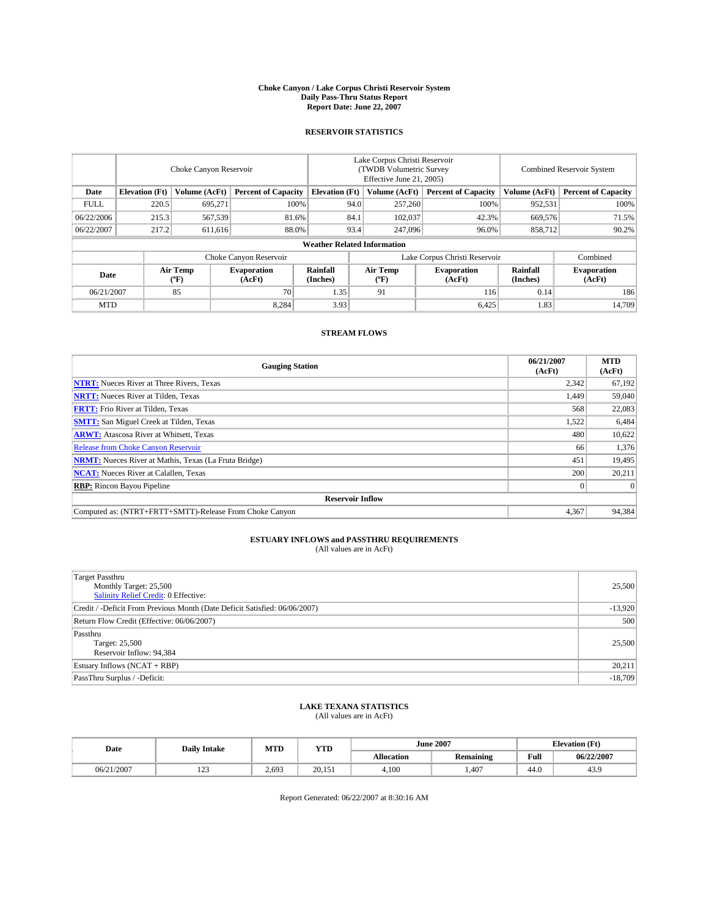#### **Choke Canyon / Lake Corpus Christi Reservoir System Daily Pass-Thru Status Report Report Date: June 22, 2007**

#### **RESERVOIR STATISTICS**

|             | Choke Canyon Reservoir             |                         |                              |                       | Lake Corpus Christi Reservoir<br>(TWDB Volumetric Survey<br>Effective June 21, 2005) |                  |                               | Combined Reservoir System |                              |  |
|-------------|------------------------------------|-------------------------|------------------------------|-----------------------|--------------------------------------------------------------------------------------|------------------|-------------------------------|---------------------------|------------------------------|--|
| Date        | <b>Elevation</b> (Ft)              | Volume (AcFt)           | <b>Percent of Capacity</b>   | <b>Elevation</b> (Ft) |                                                                                      | Volume (AcFt)    | <b>Percent of Capacity</b>    | Volume (AcFt)             | <b>Percent of Capacity</b>   |  |
| <b>FULL</b> | 220.5                              | 695.271                 |                              | 100%                  | 94.0                                                                                 | 257,260          | 100%                          | 952,531                   | 100%                         |  |
| 06/22/2006  | 215.3                              | 567,539                 | 81.6%                        |                       | 84.1                                                                                 | 102,037          | 42.3%                         | 669,576                   | 71.5%                        |  |
| 06/22/2007  | 217.2                              | 611,616                 | 88.0%                        |                       | 93.4                                                                                 | 247,096          | 96.0%                         | 858,712                   | 90.2%                        |  |
|             | <b>Weather Related Information</b> |                         |                              |                       |                                                                                      |                  |                               |                           |                              |  |
|             |                                    |                         | Choke Canyon Reservoir       |                       |                                                                                      |                  | Lake Corpus Christi Reservoir |                           | Combined                     |  |
| Date        |                                    | <b>Air Temp</b><br>(°F) | <b>Evaporation</b><br>(AcFt) | Rainfall<br>(Inches)  |                                                                                      | Air Temp<br>("F) | <b>Evaporation</b><br>(AcFt)  | Rainfall<br>(Inches)      | <b>Evaporation</b><br>(AcFt) |  |
| 06/21/2007  |                                    | 85                      | 70                           | 1.35                  |                                                                                      | 91               | 116                           | 0.14                      | 186                          |  |
| <b>MTD</b>  |                                    |                         | 8,284                        | 3.93                  |                                                                                      |                  | 6,425                         | 1.83                      | 14,709                       |  |

### **STREAM FLOWS**

| <b>Gauging Station</b>                                       | 06/21/2007<br>(AcFt) | <b>MTD</b><br>(AcFt) |
|--------------------------------------------------------------|----------------------|----------------------|
| <b>NTRT:</b> Nueces River at Three Rivers, Texas             | 2,342                | 67,192               |
| <b>NRTT:</b> Nueces River at Tilden, Texas                   | 1.449                | 59,040               |
| <b>FRTT:</b> Frio River at Tilden, Texas                     | 568                  | 22,083               |
| <b>SMTT:</b> San Miguel Creek at Tilden, Texas               | 1,522                | 6,484                |
| <b>ARWT:</b> Atascosa River at Whitsett, Texas               | 480                  | 10,622               |
| <b>Release from Choke Canyon Reservoir</b>                   | 66                   | 1,376                |
| <b>NRMT:</b> Nueces River at Mathis, Texas (La Fruta Bridge) | 451                  | 19,495               |
| <b>NCAT:</b> Nueces River at Calallen, Texas                 | 200                  | 20,211               |
| <b>RBP:</b> Rincon Bayou Pipeline                            |                      | $\Omega$             |
| <b>Reservoir Inflow</b>                                      |                      |                      |
| Computed as: (NTRT+FRTT+SMTT)-Release From Choke Canyon      | 4,367                | 94,384               |

# **ESTUARY INFLOWS and PASSTHRU REQUIREMENTS**<br>(All values are in AcFt)

| <b>Target Passthru</b><br>Monthly Target: 25,500<br>Salinity Relief Credit: 0 Effective: | 25,500    |
|------------------------------------------------------------------------------------------|-----------|
| Credit / -Deficit From Previous Month (Date Deficit Satisfied: 06/06/2007)               | $-13,920$ |
| Return Flow Credit (Effective: 06/06/2007)                                               | 500       |
| Passthru<br>Target: 25,500<br>Reservoir Inflow: 94,384                                   | 25,500    |
| Estuary Inflows (NCAT + RBP)                                                             | 20,211    |
| PassThru Surplus / -Deficit:                                                             | $-18,709$ |

## **LAKE TEXANA STATISTICS** (All values are in AcFt)

| Date       | <b>Daily Intake</b>       | MTD   | <b>YTD</b> |                   | <b>June 2007</b> | <b>Elevation</b> (Ft) |            |
|------------|---------------------------|-------|------------|-------------------|------------------|-----------------------|------------|
|            |                           |       |            | <b>Allocation</b> | <b>Remaining</b> | Full                  | 06/22/2007 |
| 06/21/2007 | 10 <sup>o</sup><br>ب سے ج | 2.693 | 20.151     | 4.100             | .407             | 44.0                  | 43.9       |

Report Generated: 06/22/2007 at 8:30:16 AM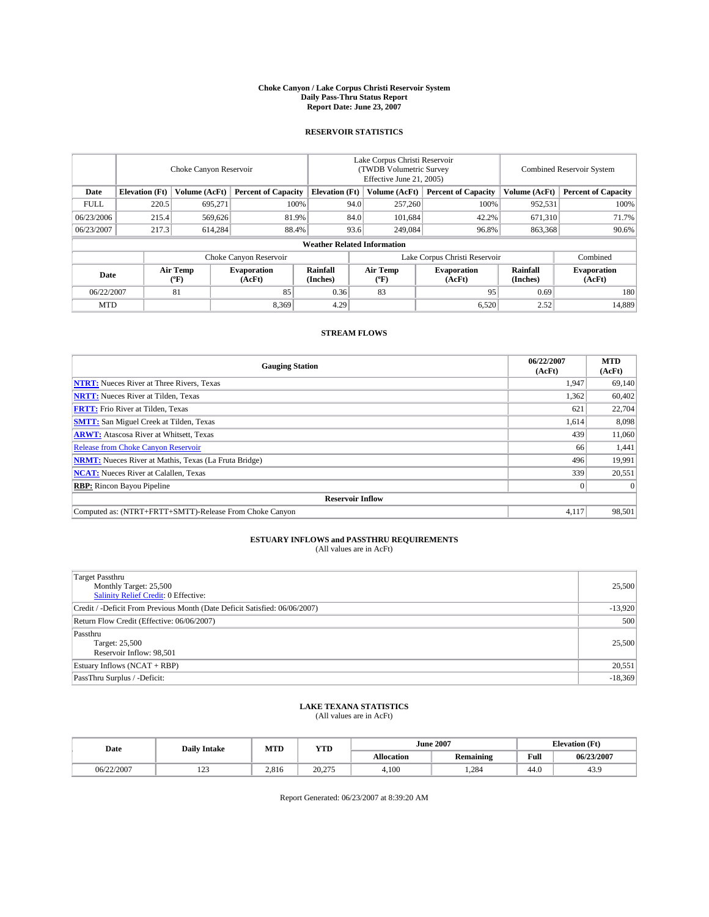#### **Choke Canyon / Lake Corpus Christi Reservoir System Daily Pass-Thru Status Report Report Date: June 23, 2007**

### **RESERVOIR STATISTICS**

|             | Choke Canyon Reservoir |                  |                              |                                    | Lake Corpus Christi Reservoir<br>(TWDB Volumetric Survey<br>Effective June 21, 2005) |                  |                              | <b>Combined Reservoir System</b> |                              |  |
|-------------|------------------------|------------------|------------------------------|------------------------------------|--------------------------------------------------------------------------------------|------------------|------------------------------|----------------------------------|------------------------------|--|
| Date        | <b>Elevation</b> (Ft)  | Volume (AcFt)    | <b>Percent of Capacity</b>   | <b>Elevation</b> (Ft)              |                                                                                      | Volume (AcFt)    | <b>Percent of Capacity</b>   | Volume (AcFt)                    | <b>Percent of Capacity</b>   |  |
| <b>FULL</b> | 220.5                  | 695.271          |                              | 100%                               | 94.0                                                                                 | 257,260          | 100%                         | 952,531                          | 100%                         |  |
| 06/23/2006  | 215.4                  | 569,626          |                              | 81.9%                              | 84.0                                                                                 | 101.684          | 42.2%                        | 671,310                          | 71.7%                        |  |
| 06/23/2007  | 217.3                  | 614,284          |                              | 88.4%                              | 93.6                                                                                 | 249,084          | 96.8%                        | 863,368                          | $90.6\%$                     |  |
|             |                        |                  |                              | <b>Weather Related Information</b> |                                                                                      |                  |                              |                                  |                              |  |
|             |                        |                  |                              | Lake Corpus Christi Reservoir      |                                                                                      | Combined         |                              |                                  |                              |  |
| Date        |                        | Air Temp<br>(°F) | <b>Evaporation</b><br>(AcFt) | <b>Rainfall</b><br>(Inches)        |                                                                                      | Air Temp<br>("F) | <b>Evaporation</b><br>(AcFt) | Rainfall<br>(Inches)             | <b>Evaporation</b><br>(AcFt) |  |
| 06/22/2007  |                        | 81               | 85                           | 0.36                               |                                                                                      | 83               | 95                           | 0.69                             | 180                          |  |
| <b>MTD</b>  |                        |                  | 8,369                        | 4.29                               |                                                                                      |                  | 6,520                        | 2.52                             | 14,889                       |  |

### **STREAM FLOWS**

| <b>Gauging Station</b>                                       | 06/22/2007<br>(AcFt) | <b>MTD</b><br>(AcFt) |
|--------------------------------------------------------------|----------------------|----------------------|
| <b>NTRT:</b> Nueces River at Three Rivers, Texas             | 1,947                | 69,140               |
| <b>NRTT:</b> Nueces River at Tilden, Texas                   | 1,362                | 60,402               |
| <b>FRTT:</b> Frio River at Tilden, Texas                     | 621                  | 22,704               |
| <b>SMTT:</b> San Miguel Creek at Tilden, Texas               | 1,614                | 8,098                |
| <b>ARWT:</b> Atascosa River at Whitsett, Texas               | 439                  | 11,060               |
| <b>Release from Choke Canyon Reservoir</b>                   | 66                   | 1,441                |
| <b>NRMT:</b> Nueces River at Mathis, Texas (La Fruta Bridge) | 496                  | 19,991               |
| <b>NCAT:</b> Nueces River at Calallen, Texas                 | 339                  | 20,551               |
| <b>RBP:</b> Rincon Bayou Pipeline                            |                      | $\Omega$             |
| <b>Reservoir Inflow</b>                                      |                      |                      |
| Computed as: (NTRT+FRTT+SMTT)-Release From Choke Canyon      | 4,117                | 98,501               |

## **ESTUARY INFLOWS and PASSTHRU REQUIREMENTS**<br>(All values are in AcFt)

| <b>Target Passthru</b><br>Monthly Target: 25,500<br>Salinity Relief Credit: 0 Effective: | 25,500    |
|------------------------------------------------------------------------------------------|-----------|
| Credit / -Deficit From Previous Month (Date Deficit Satisfied: 06/06/2007)               | $-13,920$ |
| Return Flow Credit (Effective: 06/06/2007)                                               | 500       |
| Passthru<br>Target: 25,500<br>Reservoir Inflow: 98,501                                   | 25,500    |
| Estuary Inflows (NCAT + RBP)                                                             | 20,551    |
| PassThru Surplus / -Deficit:                                                             | $-18,369$ |

## **LAKE TEXANA STATISTICS** (All values are in AcFt)

| Date       | <b>Daily Intake</b>       | MTD   | <b>YTD</b> |                   | <b>June 2007</b> | <b>Elevation</b> (Ft) |            |
|------------|---------------------------|-------|------------|-------------------|------------------|-----------------------|------------|
|            |                           |       |            | <b>Allocation</b> | <b>Remaining</b> | Full                  | 06/23/2007 |
| 06/22/2007 | 10 <sup>o</sup><br>ب سے ج | 2.816 | 20,275     | 4.100             | .284             | 44.0                  | 43.9       |

Report Generated: 06/23/2007 at 8:39:20 AM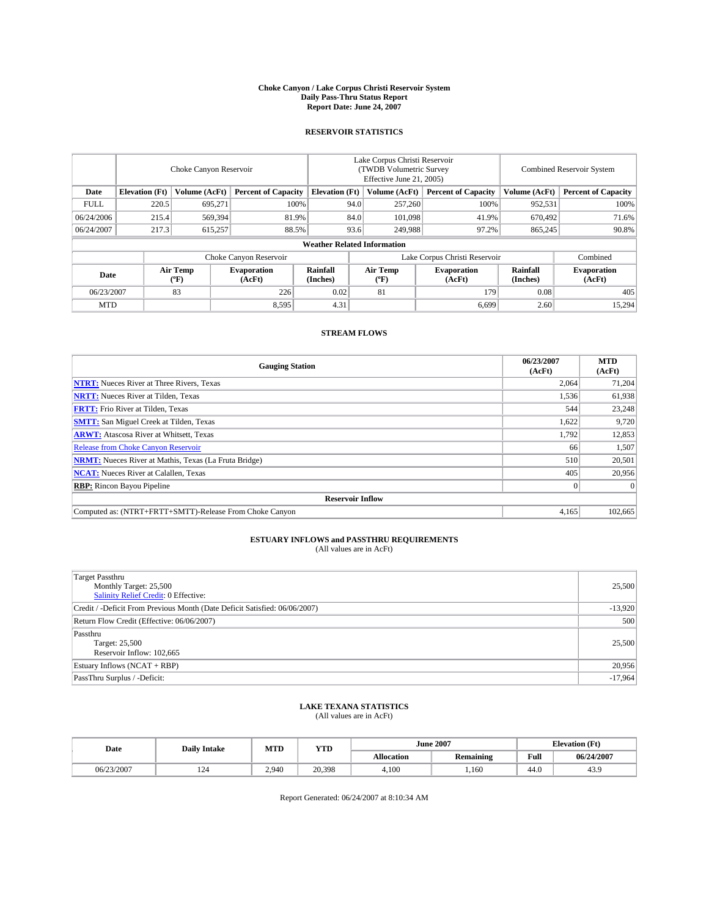#### **Choke Canyon / Lake Corpus Christi Reservoir System Daily Pass-Thru Status Report Report Date: June 24, 2007**

### **RESERVOIR STATISTICS**

|             | Choke Canyon Reservoir             |                  |                              |                       | Lake Corpus Christi Reservoir<br>(TWDB Volumetric Survey<br>Effective June 21, 2005) |                  |                               |                      | <b>Combined Reservoir System</b> |  |  |
|-------------|------------------------------------|------------------|------------------------------|-----------------------|--------------------------------------------------------------------------------------|------------------|-------------------------------|----------------------|----------------------------------|--|--|
| Date        | <b>Elevation</b> (Ft)              | Volume (AcFt)    | <b>Percent of Capacity</b>   | <b>Elevation</b> (Ft) |                                                                                      | Volume (AcFt)    | <b>Percent of Capacity</b>    | Volume (AcFt)        | <b>Percent of Capacity</b>       |  |  |
| <b>FULL</b> | 220.5                              | 695.271          |                              | 100%                  | 94.0                                                                                 | 257,260          | 100%                          | 952,531              | 100%                             |  |  |
| 06/24/2006  | 215.4                              | 569,394          | 81.9%                        |                       | 84.0                                                                                 | 101.098          | 41.9%                         | 670.492              | 71.6%                            |  |  |
| 06/24/2007  | 217.3                              | 615,257          |                              | 88.5%                 | 93.6                                                                                 | 249,988          | 97.2%                         | 865,245              | 90.8%                            |  |  |
|             | <b>Weather Related Information</b> |                  |                              |                       |                                                                                      |                  |                               |                      |                                  |  |  |
|             |                                    |                  | Choke Canyon Reservoir       |                       |                                                                                      |                  | Lake Corpus Christi Reservoir |                      | Combined                         |  |  |
| Date        |                                    | Air Temp<br>(°F) | <b>Evaporation</b><br>(AcFt) | Rainfall<br>(Inches)  |                                                                                      | Air Temp<br>("F) | <b>Evaporation</b><br>(AcFt)  | Rainfall<br>(Inches) | <b>Evaporation</b><br>(AcFt)     |  |  |
| 06/23/2007  |                                    | 83               | 226                          | 0.02                  |                                                                                      | 81               | 179                           | 0.08                 | 405                              |  |  |
| <b>MTD</b>  |                                    |                  | 8,595                        | 4.31                  |                                                                                      |                  | 6,699                         | 2.60                 | 15,294                           |  |  |

### **STREAM FLOWS**

| <b>Gauging Station</b>                                       | 06/23/2007<br>(AcFt) | <b>MTD</b><br>(AcFt) |
|--------------------------------------------------------------|----------------------|----------------------|
| <b>NTRT:</b> Nueces River at Three Rivers, Texas             | 2,064                | 71,204               |
| <b>NRTT:</b> Nueces River at Tilden, Texas                   | 1.536                | 61,938               |
| <b>FRTT:</b> Frio River at Tilden, Texas                     | 544                  | 23,248               |
| <b>SMTT:</b> San Miguel Creek at Tilden, Texas               | 1,622                | 9,720                |
| <b>ARWT:</b> Atascosa River at Whitsett, Texas               | 1.792                | 12,853               |
| <b>Release from Choke Canyon Reservoir</b>                   | 66                   | 1,507                |
| <b>NRMT:</b> Nueces River at Mathis, Texas (La Fruta Bridge) | 510                  | 20,501               |
| <b>NCAT:</b> Nueces River at Calallen, Texas                 | 405                  | 20,956               |
| <b>RBP:</b> Rincon Bayou Pipeline                            | $\mathbf{0}$         | $\Omega$             |
| <b>Reservoir Inflow</b>                                      |                      |                      |
| Computed as: (NTRT+FRTT+SMTT)-Release From Choke Canyon      | 4.165                | 102,665              |

## **ESTUARY INFLOWS and PASSTHRU REQUIREMENTS**<br>(All values are in AcFt)

| <b>Target Passthru</b><br>Monthly Target: 25,500<br>Salinity Relief Credit: 0 Effective: | 25,500    |
|------------------------------------------------------------------------------------------|-----------|
| Credit / -Deficit From Previous Month (Date Deficit Satisfied: 06/06/2007)               | $-13,920$ |
| Return Flow Credit (Effective: 06/06/2007)                                               | 500       |
| Passthru<br>Target: 25,500<br>Reservoir Inflow: 102,665                                  | 25,500    |
| Estuary Inflows (NCAT + RBP)                                                             | 20,956    |
| PassThru Surplus / -Deficit:                                                             | $-17,964$ |

## **LAKE TEXANA STATISTICS** (All values are in AcFt)

| Date       | <b>Daily Intake</b> | MTD   | <b>YTD</b> |                   | <b>June 2007</b> | <b>Elevation</b> (Ft) |            |
|------------|---------------------|-------|------------|-------------------|------------------|-----------------------|------------|
|            |                     |       |            | <b>Allocation</b> | <b>Remaining</b> | Full                  | 06/24/2007 |
| 06/23/2007 | 124                 | 2.940 | 20.398     | 4.100             | .160             | 44.0                  | 43.9       |

Report Generated: 06/24/2007 at 8:10:34 AM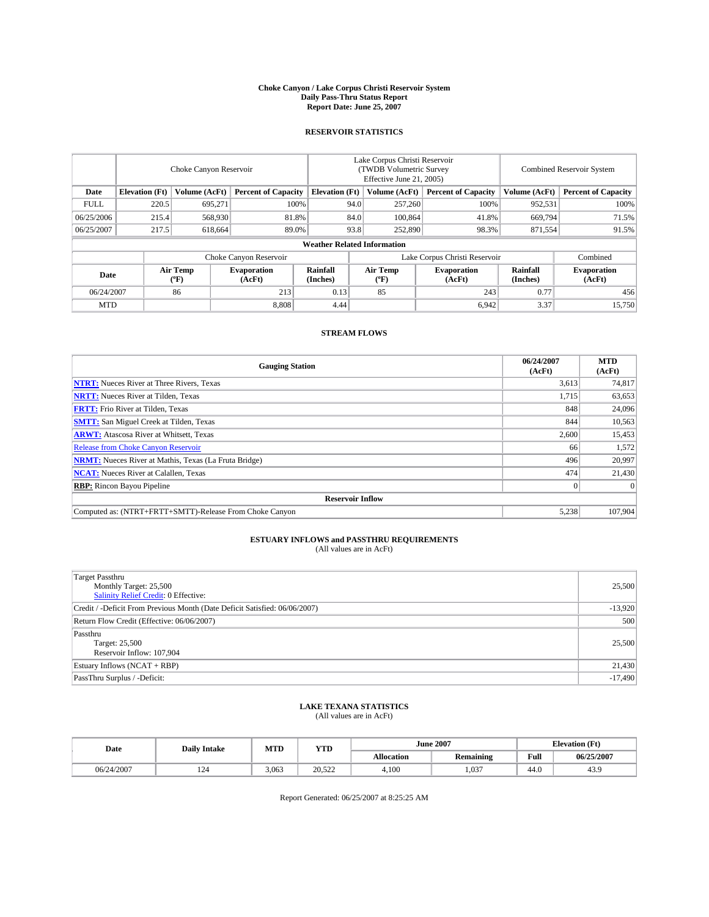#### **Choke Canyon / Lake Corpus Christi Reservoir System Daily Pass-Thru Status Report Report Date: June 25, 2007**

### **RESERVOIR STATISTICS**

|             | Choke Canyon Reservoir             |                  |                              |                       | Lake Corpus Christi Reservoir<br>(TWDB Volumetric Survey<br>Effective June 21, 2005) |                  |                               |                      | Combined Reservoir System    |  |  |
|-------------|------------------------------------|------------------|------------------------------|-----------------------|--------------------------------------------------------------------------------------|------------------|-------------------------------|----------------------|------------------------------|--|--|
| Date        | <b>Elevation</b> (Ft)              | Volume (AcFt)    | <b>Percent of Capacity</b>   | <b>Elevation</b> (Ft) |                                                                                      | Volume (AcFt)    | <b>Percent of Capacity</b>    | Volume (AcFt)        | <b>Percent of Capacity</b>   |  |  |
| <b>FULL</b> | 220.5                              | 695,271          | 100%                         |                       | 94.0                                                                                 | 257,260          | 100%                          | 952,531              | 100%                         |  |  |
| 06/25/2006  | 215.4                              | 568,930          | 81.8%                        |                       | 84.0                                                                                 | 100,864          | 41.8%                         | 669,794              | 71.5%                        |  |  |
| 06/25/2007  | 217.5                              | 618,664          | 89.0%                        |                       | 93.8                                                                                 | 252,890          | 98.3%                         | 871,554              | 91.5%                        |  |  |
|             | <b>Weather Related Information</b> |                  |                              |                       |                                                                                      |                  |                               |                      |                              |  |  |
|             |                                    |                  | Choke Canyon Reservoir       |                       |                                                                                      |                  | Lake Corpus Christi Reservoir |                      | Combined                     |  |  |
| Date        |                                    | Air Temp<br>(°F) | <b>Evaporation</b><br>(AcFt) | Rainfall<br>(Inches)  |                                                                                      | Air Temp<br>("F) | <b>Evaporation</b><br>(AcFt)  | Rainfall<br>(Inches) | <b>Evaporation</b><br>(AcFt) |  |  |
| 06/24/2007  |                                    | 86               | 213                          | 0.13                  |                                                                                      | 85               | 243                           | 0.77                 | 456                          |  |  |
| <b>MTD</b>  |                                    |                  | 8.808                        | 4.44                  |                                                                                      |                  | 6,942                         | 3.37                 | 15,750                       |  |  |

### **STREAM FLOWS**

| <b>Gauging Station</b>                                       | 06/24/2007<br>(AcFt) | <b>MTD</b><br>(AcFt) |
|--------------------------------------------------------------|----------------------|----------------------|
| <b>NTRT:</b> Nueces River at Three Rivers, Texas             | 3,613                | 74,817               |
| <b>NRTT:</b> Nueces River at Tilden, Texas                   | 1.715                | 63,653               |
| <b>FRTT:</b> Frio River at Tilden, Texas                     | 848                  | 24,096               |
| <b>SMTT:</b> San Miguel Creek at Tilden, Texas               | 844                  | 10,563               |
| <b>ARWT:</b> Atascosa River at Whitsett, Texas               | 2,600                | 15,453               |
| <b>Release from Choke Canyon Reservoir</b>                   | 66                   | 1,572                |
| <b>NRMT:</b> Nueces River at Mathis, Texas (La Fruta Bridge) | 496                  | 20,997               |
| <b>NCAT:</b> Nueces River at Calallen, Texas                 | 474                  | 21,430               |
| <b>RBP:</b> Rincon Bayou Pipeline                            | $\mathbf{0}$         | $\Omega$             |
| <b>Reservoir Inflow</b>                                      |                      |                      |
| Computed as: (NTRT+FRTT+SMTT)-Release From Choke Canyon      | 5,238                | 107,904              |

# **ESTUARY INFLOWS and PASSTHRU REQUIREMENTS**<br>(All values are in AcFt)

| <b>Target Passthru</b><br>Monthly Target: 25,500<br>Salinity Relief Credit: 0 Effective: | 25,500    |
|------------------------------------------------------------------------------------------|-----------|
| Credit / -Deficit From Previous Month (Date Deficit Satisfied: 06/06/2007)               | $-13,920$ |
| Return Flow Credit (Effective: 06/06/2007)                                               | 500       |
| Passthru<br>Target: 25,500<br>Reservoir Inflow: 107,904                                  | 25,500    |
| Estuary Inflows (NCAT + RBP)                                                             | 21,430    |
| PassThru Surplus / -Deficit:                                                             | $-17,490$ |

## **LAKE TEXANA STATISTICS** (All values are in AcFt)

| Date       | <b>Daily Intake</b> | MTD   | <b>YTD</b> |                   | <b>June 2007</b> | <b>Elevation</b> (Ft) |            |
|------------|---------------------|-------|------------|-------------------|------------------|-----------------------|------------|
|            |                     |       |            | <b>Allocation</b> | <b>Remaining</b> | Full                  | 06/25/2007 |
| 06/24/2007 | 124                 | 3,063 | 20.522     | 4.100             | .037             | 44.0                  | 43.9       |

Report Generated: 06/25/2007 at 8:25:25 AM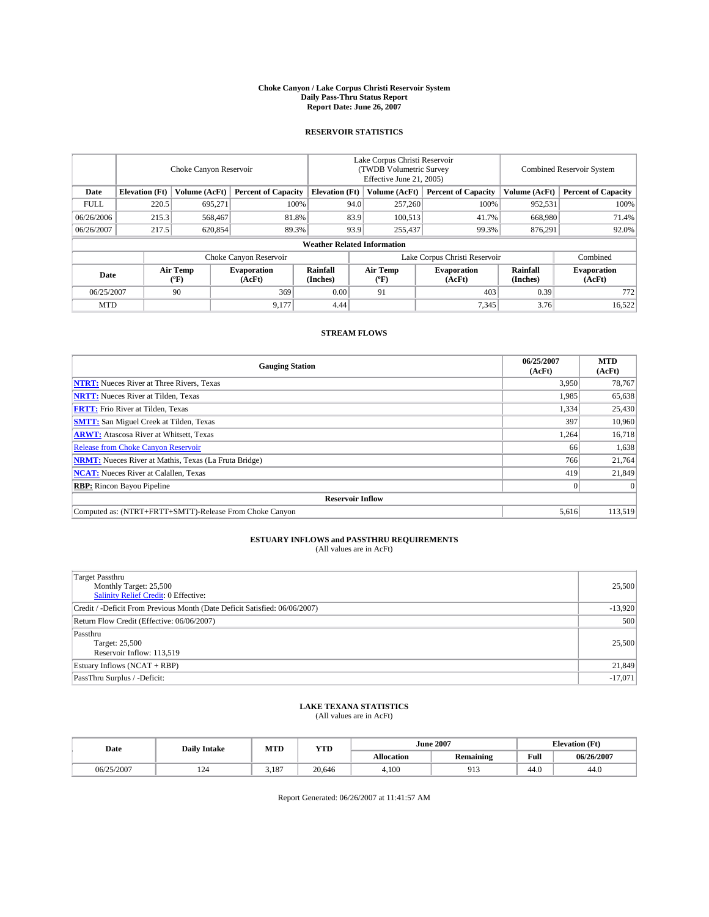#### **Choke Canyon / Lake Corpus Christi Reservoir System Daily Pass-Thru Status Report Report Date: June 26, 2007**

### **RESERVOIR STATISTICS**

|             | Choke Canyon Reservoir             |                  |                              |                       | Lake Corpus Christi Reservoir<br>(TWDB Volumetric Survey<br>Effective June 21, 2005) |                              |                               | <b>Combined Reservoir System</b> |                              |  |
|-------------|------------------------------------|------------------|------------------------------|-----------------------|--------------------------------------------------------------------------------------|------------------------------|-------------------------------|----------------------------------|------------------------------|--|
| Date        | <b>Elevation</b> (Ft)              | Volume (AcFt)    | <b>Percent of Capacity</b>   | <b>Elevation</b> (Ft) |                                                                                      | Volume (AcFt)                | <b>Percent of Capacity</b>    | Volume (AcFt)                    | <b>Percent of Capacity</b>   |  |
| <b>FULL</b> | 220.5                              | 695.271          | 100%                         |                       | 94.0                                                                                 | 257,260                      | 100%                          | 952,531                          | 100%                         |  |
| 06/26/2006  | 215.3                              | 568,467          | 81.8%                        |                       | 83.9                                                                                 | 100,513                      | 41.7%                         | 668,980                          | 71.4%                        |  |
| 06/26/2007  | 217.5                              | 620,854          | 89.3%                        |                       | 93.9                                                                                 | 255,437                      | 99.3%                         | 876,291                          | 92.0%                        |  |
|             | <b>Weather Related Information</b> |                  |                              |                       |                                                                                      |                              |                               |                                  |                              |  |
|             |                                    |                  | Choke Canyon Reservoir       |                       |                                                                                      |                              | Lake Corpus Christi Reservoir |                                  | Combined                     |  |
| Date        |                                    | Air Temp<br>(°F) | <b>Evaporation</b><br>(AcFt) | Rainfall<br>(Inches)  |                                                                                      | Air Temp<br>$(^{o}\text{F})$ | <b>Evaporation</b><br>(AcFt)  | Rainfall<br>(Inches)             | <b>Evaporation</b><br>(AcFt) |  |
| 06/25/2007  |                                    | 90               | 369                          | 0.00                  |                                                                                      | 91                           | 403                           | 0.39                             | 772                          |  |
| <b>MTD</b>  |                                    |                  | 9,177                        | 4.44                  |                                                                                      |                              | 7,345                         | 3.76                             | 16,522                       |  |

### **STREAM FLOWS**

| <b>Gauging Station</b>                                       | 06/25/2007<br>(AcFt) | <b>MTD</b><br>(AcFt) |
|--------------------------------------------------------------|----------------------|----------------------|
| <b>NTRT:</b> Nueces River at Three Rivers, Texas             | 3,950                | 78,767               |
| <b>NRTT:</b> Nueces River at Tilden, Texas                   | 1,985                | 65,638               |
| <b>FRTT:</b> Frio River at Tilden, Texas                     | 1,334                | 25,430               |
| <b>SMTT:</b> San Miguel Creek at Tilden, Texas               | 397                  | 10,960               |
| <b>ARWT:</b> Atascosa River at Whitsett, Texas               | 1,264                | 16,718               |
| <b>Release from Choke Canyon Reservoir</b>                   | 66                   | 1,638                |
| <b>NRMT:</b> Nueces River at Mathis, Texas (La Fruta Bridge) | 766                  | 21,764               |
| <b>NCAT:</b> Nueces River at Calallen, Texas                 | 419                  | 21,849               |
| <b>RBP:</b> Rincon Bayou Pipeline                            | $\mathbf{0}$         | $\Omega$             |
| <b>Reservoir Inflow</b>                                      |                      |                      |
| Computed as: (NTRT+FRTT+SMTT)-Release From Choke Canyon      | 5.616                | 113,519              |

## **ESTUARY INFLOWS and PASSTHRU REQUIREMENTS**<br>(All values are in AcFt)

| <b>Target Passthru</b><br>Monthly Target: 25,500<br>Salinity Relief Credit: 0 Effective: | 25,500    |
|------------------------------------------------------------------------------------------|-----------|
| Credit / -Deficit From Previous Month (Date Deficit Satisfied: 06/06/2007)               | $-13,920$ |
| Return Flow Credit (Effective: 06/06/2007)                                               | 500       |
| Passthru<br>Target: 25,500<br>Reservoir Inflow: 113,519                                  | 25,500    |
| Estuary Inflows (NCAT + RBP)                                                             | 21,849    |
| PassThru Surplus / -Deficit:                                                             | $-17,071$ |

## **LAKE TEXANA STATISTICS** (All values are in AcFt)

| Date       | <b>Daily Intake</b> | MTD   | YTD    |            | <b>June 2007</b> | $(T^*')$<br><b>Elevation</b><br>u u |            |
|------------|---------------------|-------|--------|------------|------------------|-------------------------------------|------------|
|            |                     |       |        | Allocation | <b>Remaining</b> | Full                                | 06/26/2007 |
| 06/25/2007 | 14                  | 3.187 | 20,646 | 4.100      | ∩1′<br>フェコ       | 44.0                                | 44.0       |

Report Generated: 06/26/2007 at 11:41:57 AM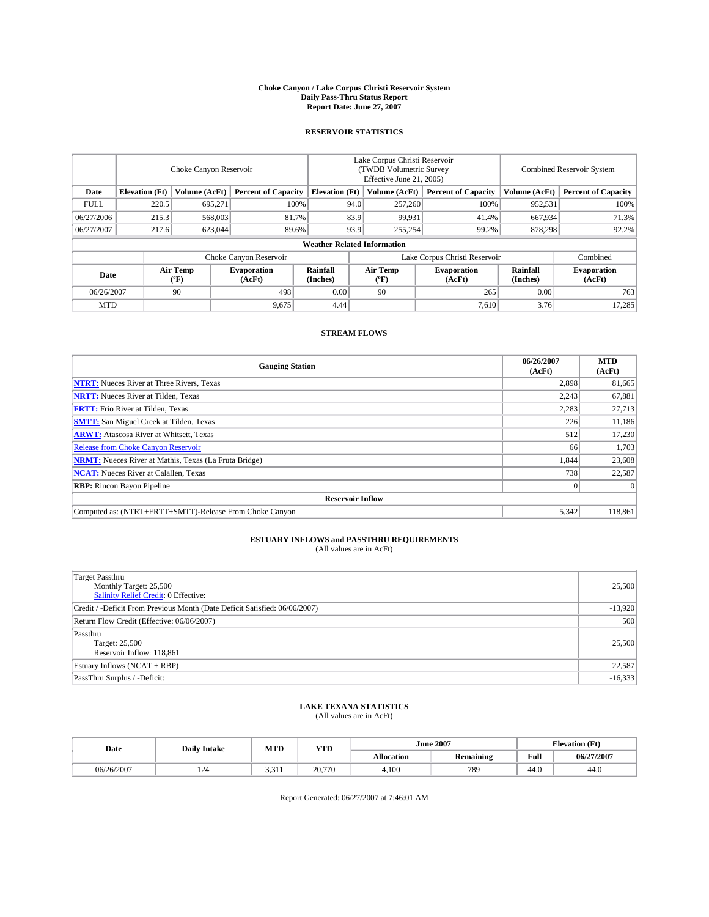#### **Choke Canyon / Lake Corpus Christi Reservoir System Daily Pass-Thru Status Report Report Date: June 27, 2007**

### **RESERVOIR STATISTICS**

|             | Choke Canyon Reservoir             |                  |                              |                       | Lake Corpus Christi Reservoir<br>(TWDB Volumetric Survey<br>Effective June 21, 2005) |                  |                               |                      | Combined Reservoir System    |  |  |
|-------------|------------------------------------|------------------|------------------------------|-----------------------|--------------------------------------------------------------------------------------|------------------|-------------------------------|----------------------|------------------------------|--|--|
| Date        | <b>Elevation</b> (Ft)              | Volume (AcFt)    | <b>Percent of Capacity</b>   | <b>Elevation</b> (Ft) |                                                                                      | Volume (AcFt)    | <b>Percent of Capacity</b>    | Volume (AcFt)        | <b>Percent of Capacity</b>   |  |  |
| <b>FULL</b> | 220.5                              | 695,271          | 100%                         |                       | 94.0                                                                                 | 257,260          | 100%                          | 952,531              | 100%                         |  |  |
| 06/27/2006  | 215.3                              | 568,003          | 81.7%                        |                       | 83.9                                                                                 | 99,931           | 41.4%                         | 667,934              | 71.3%                        |  |  |
| 06/27/2007  | 217.6                              | 623,044          | 89.6%                        |                       | 93.9                                                                                 | 255,254          | 99.2%                         | 878,298              | 92.2%                        |  |  |
|             | <b>Weather Related Information</b> |                  |                              |                       |                                                                                      |                  |                               |                      |                              |  |  |
|             |                                    |                  | Choke Canyon Reservoir       |                       |                                                                                      |                  | Lake Corpus Christi Reservoir |                      | Combined                     |  |  |
| Date        |                                    | Air Temp<br>(°F) | <b>Evaporation</b><br>(AcFt) | Rainfall<br>(Inches)  |                                                                                      | Air Temp<br>("F) | <b>Evaporation</b><br>(AcFt)  | Rainfall<br>(Inches) | <b>Evaporation</b><br>(AcFt) |  |  |
| 06/26/2007  |                                    | 90               | 498                          | 0.00                  |                                                                                      | 90               | 265                           | 0.00                 | 763                          |  |  |
| <b>MTD</b>  |                                    |                  | 9,675                        | 4.44                  |                                                                                      |                  | 7,610                         | 3.76                 | 17,285                       |  |  |

### **STREAM FLOWS**

| <b>Gauging Station</b>                                       | 06/26/2007<br>(AcFt) | <b>MTD</b><br>(AcFt) |
|--------------------------------------------------------------|----------------------|----------------------|
| <b>NTRT:</b> Nueces River at Three Rivers, Texas             | 2,898                | 81,665               |
| <b>NRTT:</b> Nueces River at Tilden, Texas                   | 2.243                | 67,881               |
| <b>FRTT:</b> Frio River at Tilden, Texas                     | 2,283                | 27,713               |
| <b>SMTT:</b> San Miguel Creek at Tilden, Texas               | 226                  | 11,186               |
| <b>ARWT:</b> Atascosa River at Whitsett, Texas               | 512                  | 17,230               |
| <b>Release from Choke Canyon Reservoir</b>                   | 66                   | 1,703                |
| <b>NRMT:</b> Nueces River at Mathis, Texas (La Fruta Bridge) | 1,844                | 23,608               |
| <b>NCAT:</b> Nueces River at Calallen, Texas                 | 738                  | 22,587               |
| <b>RBP:</b> Rincon Bayou Pipeline                            | $\mathbf{0}$         | $\Omega$             |
| <b>Reservoir Inflow</b>                                      |                      |                      |
| Computed as: (NTRT+FRTT+SMTT)-Release From Choke Canyon      | 5,342                | 118,861              |

# **ESTUARY INFLOWS and PASSTHRU REQUIREMENTS**<br>(All values are in AcFt)

| <b>Target Passthru</b><br>Monthly Target: 25,500<br>Salinity Relief Credit: 0 Effective: | 25,500    |
|------------------------------------------------------------------------------------------|-----------|
| Credit / -Deficit From Previous Month (Date Deficit Satisfied: 06/06/2007)               | $-13,920$ |
| Return Flow Credit (Effective: 06/06/2007)                                               | 500       |
| Passthru<br>Target: 25,500<br>Reservoir Inflow: 118,861                                  | 25,500    |
| Estuary Inflows (NCAT + RBP)                                                             | 22,587    |
| PassThru Surplus / -Deficit:                                                             | $-16,333$ |

## **LAKE TEXANA STATISTICS** (All values are in AcFt)

| Date       | <b>Daily Intake</b> | MTD   | <b>YTD</b> |                   | <b>June 2007</b> | <b>Elevation</b> (Ft) |            |
|------------|---------------------|-------|------------|-------------------|------------------|-----------------------|------------|
|            |                     |       |            | <b>Allocation</b> | <b>Remaining</b> | Full                  | 06/27/2007 |
| 06/26/2007 | 124                 | 3,311 | 20,770     | 4.100             | 789              | 44.0                  | 44.0       |

Report Generated: 06/27/2007 at 7:46:01 AM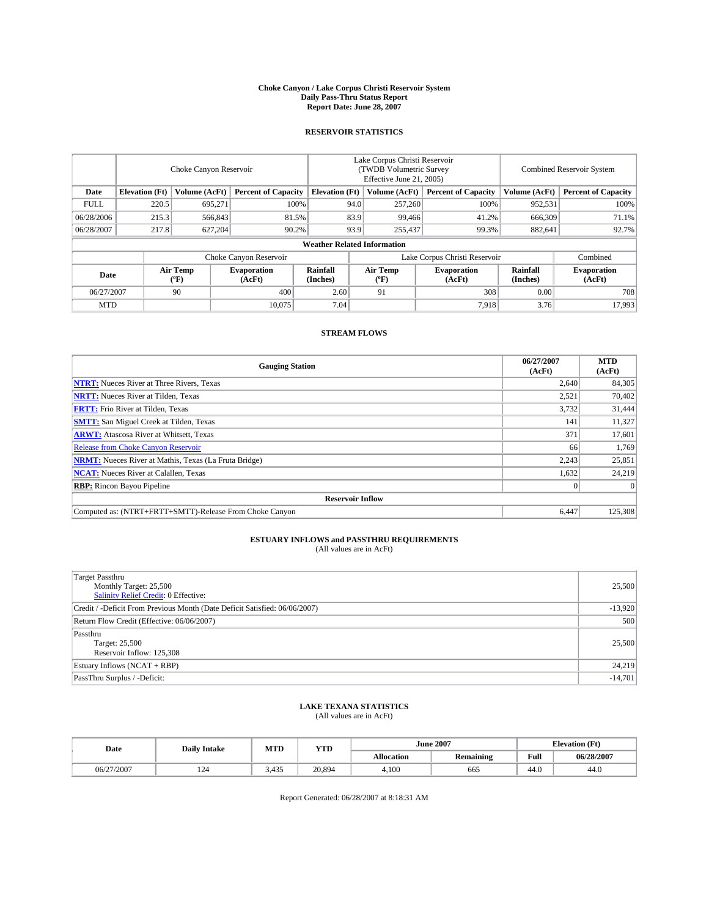#### **Choke Canyon / Lake Corpus Christi Reservoir System Daily Pass-Thru Status Report Report Date: June 28, 2007**

### **RESERVOIR STATISTICS**

|             | Choke Canyon Reservoir             |                  |                              |                       | Lake Corpus Christi Reservoir<br>(TWDB Volumetric Survey<br>Effective June 21, 2005) |                  |                               |                      | Combined Reservoir System    |  |  |
|-------------|------------------------------------|------------------|------------------------------|-----------------------|--------------------------------------------------------------------------------------|------------------|-------------------------------|----------------------|------------------------------|--|--|
| Date        | <b>Elevation</b> (Ft)              | Volume (AcFt)    | <b>Percent of Capacity</b>   | <b>Elevation</b> (Ft) |                                                                                      | Volume (AcFt)    | <b>Percent of Capacity</b>    | Volume (AcFt)        | <b>Percent of Capacity</b>   |  |  |
| <b>FULL</b> | 220.5                              | 695,271          | 100%                         |                       | 94.0                                                                                 | 257,260          | 100%                          | 952,531              | 100%                         |  |  |
| 06/28/2006  | 215.3                              | 566,843          | 81.5%                        |                       | 83.9                                                                                 | 99,466           | 41.2%                         | 666,309              | 71.1%                        |  |  |
| 06/28/2007  | 217.8                              | 627,204          | 90.2%                        |                       | 93.9                                                                                 | 255,437          | 99.3%                         | 882,641              | 92.7%                        |  |  |
|             | <b>Weather Related Information</b> |                  |                              |                       |                                                                                      |                  |                               |                      |                              |  |  |
|             |                                    |                  | Choke Canyon Reservoir       |                       |                                                                                      |                  | Lake Corpus Christi Reservoir |                      | Combined                     |  |  |
| Date        |                                    | Air Temp<br>(°F) | <b>Evaporation</b><br>(AcFt) | Rainfall<br>(Inches)  |                                                                                      | Air Temp<br>("F) | <b>Evaporation</b><br>(AcFt)  | Rainfall<br>(Inches) | <b>Evaporation</b><br>(AcFt) |  |  |
| 06/27/2007  |                                    | 90               | 400                          | 2.60                  |                                                                                      | 91               | 308                           | 0.00                 | 708                          |  |  |
| <b>MTD</b>  |                                    |                  | 10.075                       | 7.04                  |                                                                                      |                  | 7.918                         | 3.76                 | 17,993                       |  |  |

### **STREAM FLOWS**

| <b>Gauging Station</b>                                       | 06/27/2007<br>(AcFt) | <b>MTD</b><br>(AcFt) |
|--------------------------------------------------------------|----------------------|----------------------|
| <b>NTRT:</b> Nueces River at Three Rivers, Texas             | 2,640                | 84,305               |
| <b>NRTT:</b> Nueces River at Tilden, Texas                   | 2,521                | 70,402               |
| <b>FRTT:</b> Frio River at Tilden, Texas                     | 3,732                | 31,444               |
| <b>SMTT:</b> San Miguel Creek at Tilden, Texas               | 141                  | 11,327               |
| <b>ARWT:</b> Atascosa River at Whitsett, Texas               | 371                  | 17,601               |
| <b>Release from Choke Canyon Reservoir</b>                   | 66                   | 1,769                |
| <b>NRMT:</b> Nueces River at Mathis, Texas (La Fruta Bridge) | 2,243                | 25,851               |
| <b>NCAT:</b> Nueces River at Calallen, Texas                 | 1,632                | 24,219               |
| <b>RBP:</b> Rincon Bayou Pipeline                            | $\mathbf{0}$         | $\Omega$             |
| <b>Reservoir Inflow</b>                                      |                      |                      |
| Computed as: (NTRT+FRTT+SMTT)-Release From Choke Canyon      | 6.447                | 125,308              |

# **ESTUARY INFLOWS and PASSTHRU REQUIREMENTS**<br>(All values are in AcFt)

| <b>Target Passthru</b><br>Monthly Target: 25,500<br>Salinity Relief Credit: 0 Effective: | 25,500    |
|------------------------------------------------------------------------------------------|-----------|
| Credit / -Deficit From Previous Month (Date Deficit Satisfied: 06/06/2007)               | $-13,920$ |
| Return Flow Credit (Effective: 06/06/2007)                                               | 500       |
| Passthru<br>Target: 25,500<br>Reservoir Inflow: 125,308                                  | 25,500    |
| Estuary Inflows (NCAT + RBP)                                                             | 24,219    |
| PassThru Surplus / -Deficit:                                                             | $-14,701$ |

## **LAKE TEXANA STATISTICS** (All values are in AcFt)

| Date       | <b>Daily Intake</b> | MTD   | <b>YTD</b> |                   | <b>June 2007</b> |      | <b>Elevation</b> (Ft) |
|------------|---------------------|-------|------------|-------------------|------------------|------|-----------------------|
|            |                     |       |            | <b>Allocation</b> | <b>Remaining</b> | Full | 06/28/2007            |
| 06/27/2007 | 124                 | 3,435 | 20,894     | 4.100             | 665              | 44.0 | 44.0                  |

Report Generated: 06/28/2007 at 8:18:31 AM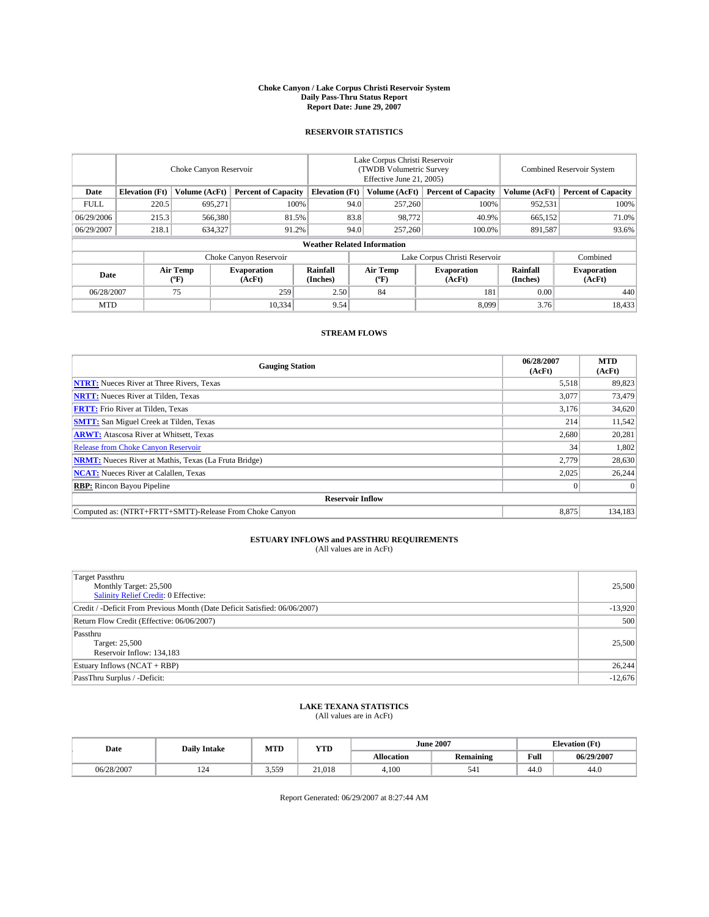#### **Choke Canyon / Lake Corpus Christi Reservoir System Daily Pass-Thru Status Report Report Date: June 29, 2007**

### **RESERVOIR STATISTICS**

|             | Choke Canyon Reservoir             |                  |                              |                       | Lake Corpus Christi Reservoir<br>(TWDB Volumetric Survey<br>Effective June 21, 2005) |                  |                               |                      | Combined Reservoir System    |  |  |
|-------------|------------------------------------|------------------|------------------------------|-----------------------|--------------------------------------------------------------------------------------|------------------|-------------------------------|----------------------|------------------------------|--|--|
| Date        | <b>Elevation</b> (Ft)              | Volume (AcFt)    | <b>Percent of Capacity</b>   | <b>Elevation</b> (Ft) |                                                                                      | Volume (AcFt)    | <b>Percent of Capacity</b>    | Volume (AcFt)        | <b>Percent of Capacity</b>   |  |  |
| <b>FULL</b> | 220.5                              | 695.271          |                              | 100%                  | 94.0                                                                                 | 257,260          | 100%                          | 952,531              | 100%                         |  |  |
| 06/29/2006  | 215.3                              | 566,380          | 81.5%                        |                       | 83.8                                                                                 | 98,772           | 40.9%                         | 665,152              | 71.0%                        |  |  |
| 06/29/2007  | 218.1                              | 634,327          | 91.2%                        |                       | 94.0                                                                                 | 257,260          | 100.0%                        | 891,587              | 93.6%                        |  |  |
|             | <b>Weather Related Information</b> |                  |                              |                       |                                                                                      |                  |                               |                      |                              |  |  |
|             |                                    |                  | Choke Canyon Reservoir       |                       |                                                                                      |                  | Lake Corpus Christi Reservoir |                      | Combined                     |  |  |
| Date        |                                    | Air Temp<br>(°F) | <b>Evaporation</b><br>(AcFt) | Rainfall<br>(Inches)  |                                                                                      | Air Temp<br>("F) | <b>Evaporation</b><br>(AcFt)  | Rainfall<br>(Inches) | <b>Evaporation</b><br>(AcFt) |  |  |
| 06/28/2007  |                                    | 75               | 259                          | 2.50                  |                                                                                      | 84               | 181                           | 0.00                 | 440                          |  |  |
| <b>MTD</b>  |                                    |                  | 10,334                       | 9.54                  |                                                                                      |                  | 8.099                         | 3.76                 | 18,433                       |  |  |

### **STREAM FLOWS**

| <b>Gauging Station</b>                                       | 06/28/2007<br>(AcFt) | <b>MTD</b><br>(AcFt) |
|--------------------------------------------------------------|----------------------|----------------------|
| <b>NTRT:</b> Nueces River at Three Rivers, Texas             | 5,518                | 89,823               |
| <b>NRTT:</b> Nueces River at Tilden, Texas                   | 3.077                | 73,479               |
| <b>FRTT:</b> Frio River at Tilden, Texas                     | 3,176                | 34,620               |
| <b>SMTT:</b> San Miguel Creek at Tilden, Texas               | 214                  | 11,542               |
| <b>ARWT:</b> Atascosa River at Whitsett, Texas               | 2,680                | 20,281               |
| <b>Release from Choke Canyon Reservoir</b>                   | 34                   | 1,802                |
| <b>NRMT:</b> Nueces River at Mathis, Texas (La Fruta Bridge) | 2.779                | 28,630               |
| <b>NCAT:</b> Nueces River at Calallen, Texas                 | 2,025                | 26,244               |
| <b>RBP:</b> Rincon Bayou Pipeline                            | $\mathbf{0}$         | $\Omega$             |
| <b>Reservoir Inflow</b>                                      |                      |                      |
| Computed as: (NTRT+FRTT+SMTT)-Release From Choke Canyon      | 8.875                | 134,183              |

# **ESTUARY INFLOWS and PASSTHRU REQUIREMENTS**<br>(All values are in AcFt)

| <b>Target Passthru</b><br>Monthly Target: 25,500<br>Salinity Relief Credit: 0 Effective: | 25,500    |
|------------------------------------------------------------------------------------------|-----------|
| Credit / -Deficit From Previous Month (Date Deficit Satisfied: 06/06/2007)               | $-13,920$ |
| Return Flow Credit (Effective: 06/06/2007)                                               | 500       |
| Passthru<br>Target: 25,500<br>Reservoir Inflow: 134,183                                  | 25,500    |
| Estuary Inflows (NCAT + RBP)                                                             | 26,244    |
| PassThru Surplus / -Deficit:                                                             | $-12,676$ |

## **LAKE TEXANA STATISTICS** (All values are in AcFt)

| Date       | <b>Daily Intake</b> | MTD   | <b>YTD</b> |                   | <b>June 2007</b> | <b>Elevation</b> (Ft) |            |
|------------|---------------------|-------|------------|-------------------|------------------|-----------------------|------------|
|            |                     |       |            | <b>Allocation</b> | <b>Remaining</b> | Full                  | 06/29/2007 |
| 06/28/2007 | 124                 | 3,559 | 21.018     | 4.100             | 541              | 44.0                  | 44.0       |

Report Generated: 06/29/2007 at 8:27:44 AM